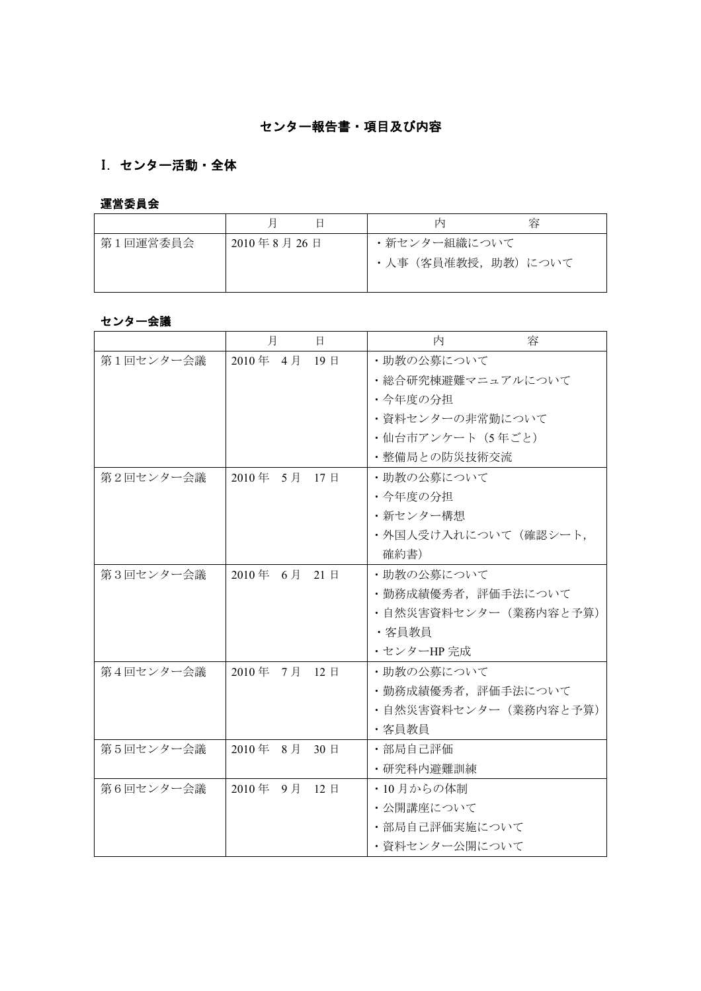# センター報告書・項目及び内容

# I. センター活動・全体

## 運営委員会

|          |            | 内                    | 容 |
|----------|------------|----------------------|---|
| 第1回運営委員会 | 2010年8月26日 | ・新センター組織について         |   |
|          |            | ・人事 (客員准教授, 助教) について |   |
|          |            |                      |   |

## センター会議

|           | 月            | $\mathbf{H}$ | 内<br>容               |
|-----------|--------------|--------------|----------------------|
| 第1回センター会議 | 2010年 4月 19日 |              | ・助教の公募について           |
|           |              |              | ・総合研究棟避難マニュアルについて    |
|           |              |              | ・今年度の分担              |
|           |              |              | ・資料センターの非常勤について      |
|           |              |              | ・仙台市アンケート (5年ごと)     |
|           |              |              | ・整備局との防災技術交流         |
| 第2回センター会議 | 2010年 5月 17日 |              | ・助教の公募について           |
|           |              |              | ・今年度の分担              |
|           |              |              | ・新センター構想             |
|           |              |              | ・外国人受け入れについて(確認シート,  |
|           |              |              | 確約書)                 |
| 第3回センター会議 | 2010年 6月 21日 |              | ・助教の公募について           |
|           |              |              | ・勤務成績優秀者, 評価手法について   |
|           |              |              | ・自然災害資料センター(業務内容と予算) |
|           |              |              | ・客員教員                |
|           |              |              | ・センターHP完成            |
| 第4回センター会議 | 2010年 7月 12日 |              | ・助教の公募について           |
|           |              |              | ・勤務成績優秀者, 評価手法について   |
|           |              |              | ・自然災害資料センター(業務内容と予算) |
|           |              |              | ・客員教員                |
| 第5回センター会議 | 2010年 8月 30日 |              | ・部局自己評価              |
|           |              |              | ・研究科内避難訓練            |
| 第6回センター会議 | 2010年 9月 12日 |              | ・10月からの体制            |
|           |              |              | ・公開講座について            |
|           |              |              | ・部局自己評価実施について        |
|           |              |              | ・資料センター公開について        |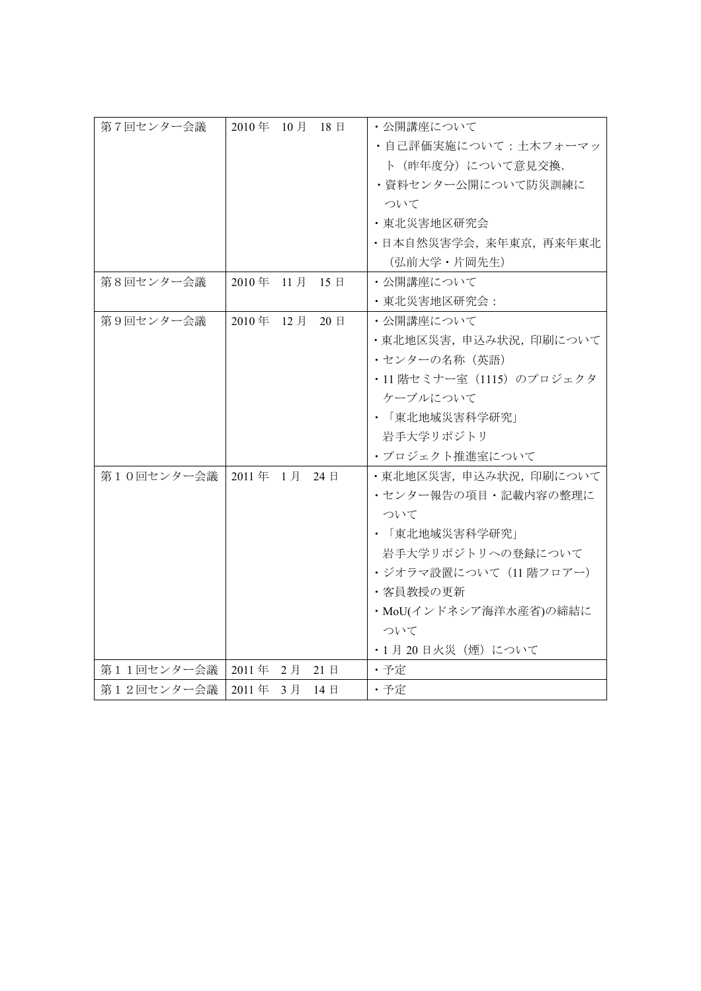| 第7回センター会議  | 2010年 10月 18日                      | ・公開講座について                 |
|------------|------------------------------------|---------------------------|
|            |                                    | ・自己評価実施について:土木フォーマッ       |
|            |                                    | ト (昨年度分)について意見交換.         |
|            |                                    | ・資料センター公開について防災訓練に        |
|            |                                    | ついて                       |
|            |                                    | ・東北災害地区研究会                |
|            |                                    | •日本自然災害学会, 来年東京, 再来年東北    |
|            |                                    | (弘前大学 · 片岡先生)             |
| 第8回センター会議  | 2010年 11月<br>15日                   | ・公開講座について                 |
|            |                                    | • 東北災害地区研究会:              |
| 第9回センター会議  | 2010年 12月<br>$20 \text{ } \square$ | ・公開講座について                 |
|            |                                    | ・東北地区災害, 申込み状況, 印刷について    |
|            |                                    | • センターの名称 (英語)            |
|            |                                    | ・11 階セミナー室 (1115) のプロジェクタ |
|            |                                    | ケーブルについて                  |
|            |                                    | • 「東北地域災害科学研究」            |
|            |                                    | 岩手大学リポジトリ                 |
|            |                                    | ・プロジェクト推進室について            |
| 第10回センター会議 | 2011年 1月 24日                       | ・東北地区災害,申込み状況,印刷について      |
|            |                                    | ・センター報告の項目・記載内容の整理に       |
|            |                                    | ついて                       |
|            |                                    | ・ 「東北地域災害科学研究」            |
|            |                                    | 岩手大学リポジトリへの登録について         |
|            |                                    | ・ジオラマ設置について(11 階フロアー)     |
|            |                                    | ・客員教授の更新                  |
|            |                                    | ・MoU(インドネシア海洋水産省)の締結に     |
|            |                                    | ついて                       |
|            |                                    | ・1 月 20 日火災(煙)について        |
| 第11回センター会議 | 2011年 2月<br>21日                    | ・予定                       |
| 第12回センター会議 | 2011年 3月<br>14 日                   | ・予定                       |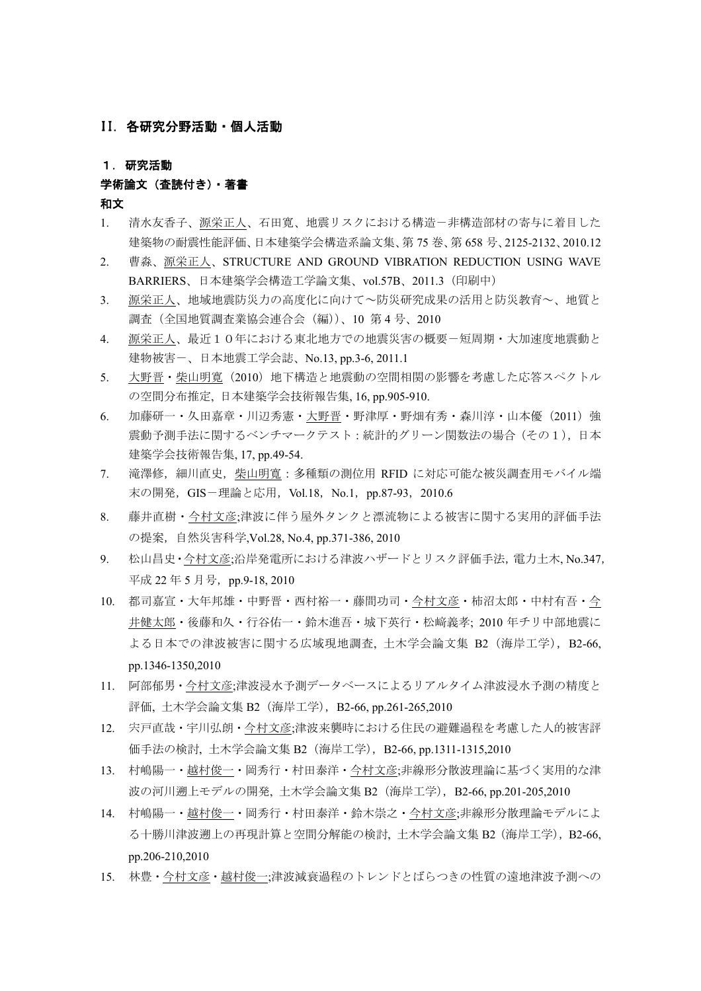#### II. 各研究分野活動・個人活動

1.研究活動

#### 学術論文(査読付き)・著書

和文

- 1. 清水友香子、源栄正人、石田寛、地震リスクにおける構造一非構造部材の寄与に着目した 建築物の耐震性能評価、日本建築学会構造系論文集、第 75 巻、第 658 号、2125-2132、2010.12
- 2. 曹淼、源栄正人、STRUCTURE AND GROUND VIBRATION REDUCTION USING WAVE BARRIERS、日本建築学会構造工学論文集、vol.57B、2011.3(印刷中)
- 3. 源栄正人、地域地震防災力の高度化に向けて~防災研究成果の活用と防災教育~、地質と 調査(全国地質調査業協会連合会(編))、10 第 4 号、2010
- 4. 源栄正人、最近10年における東北地方での地震災害の概要-短周期・大加速度地震動と 建物被害-、日本地震工学会誌、No.13, pp.3-6, 2011.1
- 5. 大野晋・柴山明寛(2010)地下構造と地震動の空間相関の影響を考慮した応答スペクトル の空間分布推定, 日本建築学会技術報告集, 16, pp.905-910.
- 6. 加藤研一・久田嘉章・川辺秀憲・大野晋・野津厚・野畑有秀・森川淳・山本優 (2011) 強 震動予測手法に関するベンチマークテスト:統計的グリーン関数法の場合(その1),日本 建築学会技術報告集, 17, pp.49-54.
- 7. 滝澤修,細川直史,柴山明寬:多種類の測位用 RFID に対応可能な被災調査用モバイル端 末の開発, GIS-理論と応用, Vol.18, No.1, pp.87-93, 2010.6
- 8. 藤井直樹・今村文彦;津波に伴う屋外タンクと漂流物による被害に関する実用的評価手法 の提案,自然災害科学,Vol.28, No.4, pp.371-386, 2010
- 9. 松山昌史・今村文彦;沿岸発電所における津波ハザードとリスク評価手法,電力土木, No.347, 平成 22年5月号, pp.9-18, 2010
- 10. 都司嘉宣・大年邦雄・中野晋・西村裕一・藤間功司・今村文彦・柿沼太郎・中村有吾・今 井健太郎・後藤和久・行谷佑一・鈴木進吾・城下英行・松﨑義孝; 2010 年チリ中部地震に よる日本での津波被害に関する広域現地調査, 土木学会論文集 B2(海岸工学),B2-66, pp.1346-1350,2010
- 11. 阿部郁男・今村文彦;津波浸水予測データベースによるリアルタイム津波浸水予測の精度と 評価, 土木学会論文集 B2(海岸工学),B2-66, pp.261-265,2010
- 12. 宍戸直哉・宇川弘朗・今村文彦;津波来襲時における住民の避難過程を考慮した人的被害評 価手法の検討, 土木学会論文集 B2(海岸工学),B2-66, pp.1311-1315,2010
- 13. 村嶋陽一・越村俊一・岡秀行・村田泰洋・今村文彦;非線形分散波理論に基づく実用的な津 波の河川遡上モデルの開発, 土木学会論文集 B2 (海岸工学), B2-66, pp.201-205,2010
- 14. 村嶋陽一・越村俊一・岡秀行・村田泰洋・鈴木崇之・今村文彦;非線形分散理論モデルによ る十勝川津波遡上の再現計算と空間分解能の検討, 土木学会論文集 B2(海岸工学),B2-66, pp.206-210,2010
- 15. 林豊・今村文彦・越村俊一;津波減衰過程のトレンドとばらつきの性質の遠地津波予測への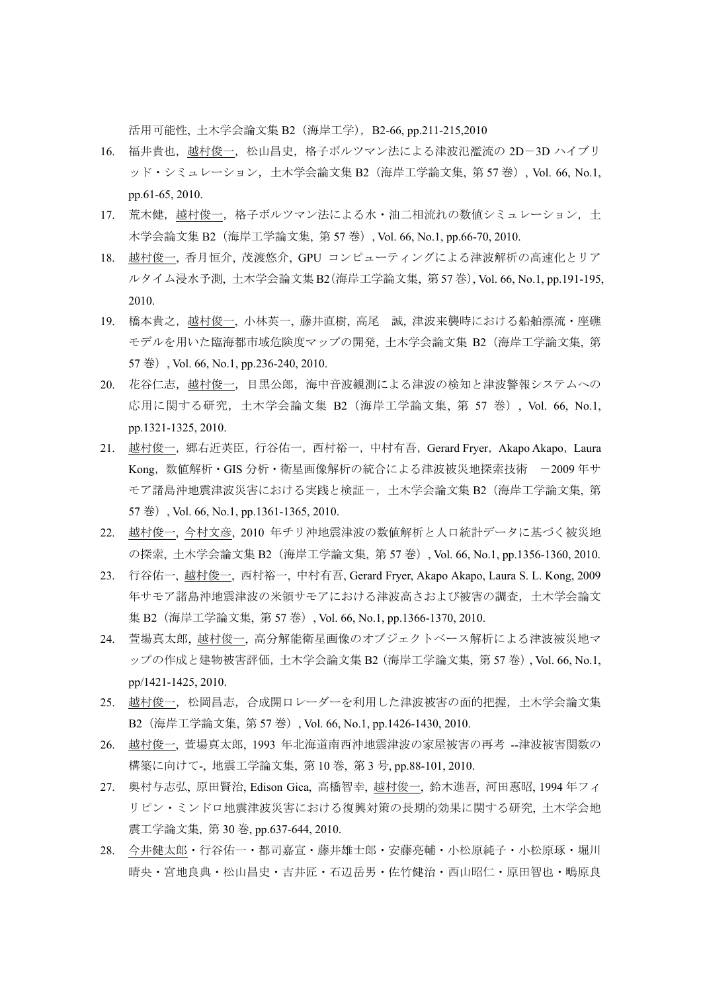活用可能性, 土木学会論文集 B2 (海岸工学), B2-66, pp.211-215,2010

- 16. 福井貴也, 越村俊一, 松山昌史, 格子ボルツマン法による津波氾濫流の 2D-3D ハイブリ ッド・シミュレーション,土木学会論文集 B2(海岸工学論文集, 第 57 巻), Vol. 66, No.1, pp.61-65, 2010.
- 17. 荒木健,越村俊一,格子ボルツマン法による水・油二相流れの数値シミュレーション,土 木学会論文集 B2 (海岸工学論文集, 第 57 巻), Vol. 66, No.1, pp.66-70, 2010.
- 18. 越村俊一, 香月恒介, 茂渡悠介, GPU コンピューティングによる津波解析の高速化とリア ルタイム浸水予測, 土木学会論文集 B2(海岸工学論文集, 第 57 巻), Vol. 66, No.1, pp.191-195, 2010.
- 19. 橋本貴之, 越村俊一, 小林英一, 藤井直樹, 高尾 誠, 津波来襲時における船舶漂流・座礁 モデルを用いた臨海都市域危険度マップの開発, 土木学会論文集 B2(海岸工学論文集, 第 57 巻), Vol. 66, No.1, pp.236-240, 2010.
- 20. 花谷仁志,越村俊一,目黒公郎,海中音波観測による津波の検知と津波警報システムへの 応用に関する研究,土木学会論文集 B2(海岸工学論文集, 第 57 巻), Vol. 66, No.1, pp.1321-1325, 2010.
- 21. 越村俊一, 郷右近英臣, 行谷佑一, 西村裕一, 中村有吾, Gerard Fryer, Akapo Akapo, Laura Kong, 数値解析 · GIS 分析 · 衛星画像解析の統合による津波被災地探索技術 -2009 年サ モア諸島沖地震津波災害における実践と検証-,土木学会論文集 B2 (海岸工学論文集, 第 57 巻), Vol. 66, No.1, pp.1361-1365, 2010.
- 22. 越村俊一, 今村文彦, 2010 年チリ沖地震津波の数値解析と人口統計データに基づく被災地 の探索, 土木学会論文集 B2(海岸工学論文集, 第 57 巻), Vol. 66, No.1, pp.1356-1360, 2010.
- 23. 行谷佑一, 越村俊一, 西村裕一, 中村有吾, Gerard Fryer, Akapo Akapo, Laura S. L. Kong, 2009 年サモア諸島沖地震津波の米領サモアにおける津波高さおよび被害の調査,土木学会論文 集 B2 (海岸工学論文集, 第 57 巻), Vol. 66, No.1, pp.1366-1370, 2010.
- 24. 萱場真太郎, 越村俊一, 高分解能衛星画像のオブジェクトベース解析による津波被災地マ ップの作成と建物被害評価,土木学会論文集 B2(海岸工学論文集, 第 57 巻), Vol. 66, No.1, pp/1421-1425, 2010.
- 25. 越村俊一,松岡昌志,合成開口レーダーを利用した津波被害の面的把握,土木学会論文集 B2(海岸工学論文集, 第 57 巻), Vol. 66, No.1, pp.1426-1430, 2010.
- 26. 越村俊一, 萱場真太郎, 1993 年北海道南西沖地震津波の家屋被害の再考 --津波被害関数の 構築に向けて-, 地震工学論文集, 第 10 巻, 第 3 号, pp.88-101, 2010.
- 27. 奥村与志弘, 原田賢治, Edison Gica, 高橋智幸, 越村俊一, 鈴木進吾, 河田惠昭, 1994 年フィ リピン・ミンドロ地震津波災害における復興対策の長期的効果に関する研究, 土木学会地 震工学論文集, 第 30 巻, pp.637-644, 2010.
- 28. 今井健太郎・行谷佑一・都司嘉宣・藤井雄士郎・安藤亮輔・小松原純子・小松原琢・堀川 晴央・宮地良典・松山昌史・吉井匠・石辺岳男・佐竹健治・西山昭仁・原田智也・鴫原良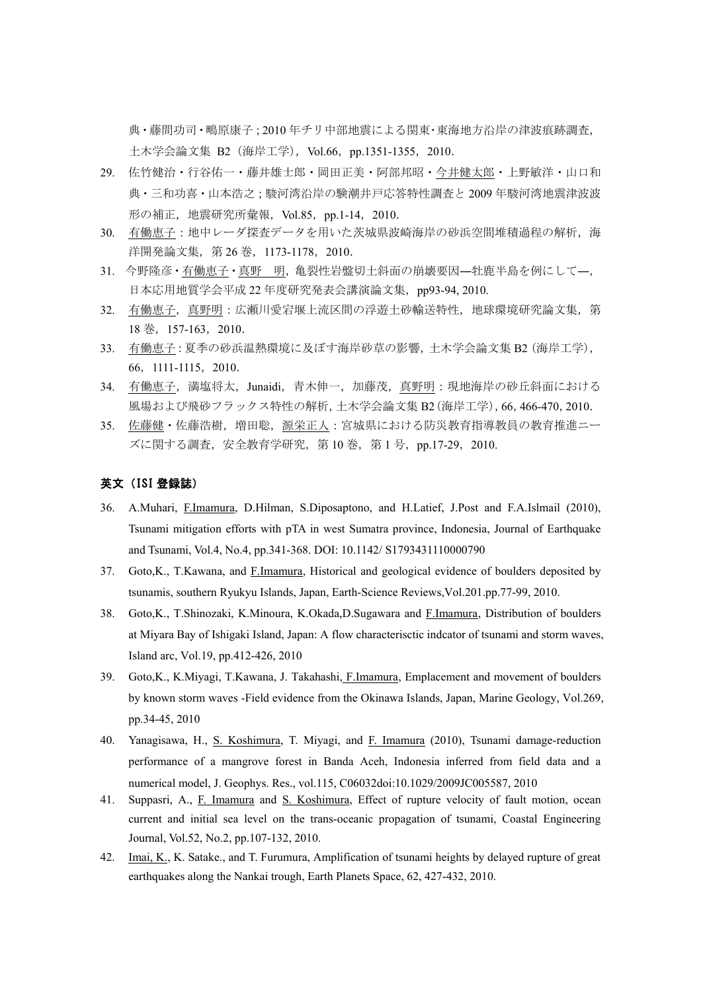典・藤間功司・鴫原康子;2010 年チリ中部地震による関東・東海地方沿岸の津波痕跡調査, 土木学会論文集 B2(海岸工学),Vol.66,pp.1351-1355,2010.

- 29. 佐竹健治・行谷佑一・藤井雄士郎・岡田正美・阿部邦昭・今井健太郎・上野敏洋・山口和 典・三和功喜・山本浩之;駿河湾沿岸の験潮井戸応答特性調査と 2009 年駿河湾地震津波波 形の補正,地震研究所彙報,Vol.85,pp.1-14,2010.
- 30. 有働恵子:地中レーダ探査データを用いた茨城県波崎海岸の砂浜空間堆積過程の解析,海 洋開発論文集, 第 26 巻, 1173-1178, 2010.
- 31. 今野隆彦・有働恵子・真野 明, 亀裂性岩盤切土斜面の崩壊要因–牡鹿半島を例にして–, 日本応用地質学会平成 22 年度研究発表会講演論文集, pp93-94, 2010.
- 32. 有働恵子,真野明:広瀬川愛宕堰上流区間の浮遊土砂輸送特性,地球環境研究論文集,第 18 巻,157-163,2010.
- 33. 有働恵子:夏季の砂浜温熱環境に及ぼす海岸砂草の影響,土木学会論文集 B2(海岸工学), 66,1111-1115,2010.
- 34. 有働恵子,満塩将太,Junaidi,青木伸一,加藤茂,真野明:現地海岸の砂丘斜面における 風場および飛砂フラックス特性の解析,土木学会論文集 B2(海岸工学),66,466-470,2010.
- 35. 佐藤健・佐藤浩樹,増田聡,源栄正人:宮城県における防災教育指導教員の教育推進ニー ズに関する調査, 安全教育学研究, 第 10 巻, 第 1 号, pp.17-29, 2010.

#### 英文(ISI 登録誌)

- 36. A.Muhari, F.Imamura, D.Hilman, S.Diposaptono, and H.Latief, J.Post and F.A.Islmail (2010), Tsunami mitigation efforts with pTA in west Sumatra province, Indonesia, Journal of Earthquake and Tsunami, Vol.4, No.4, pp.341-368. DOI: 10.1142/ S1793431110000790
- 37. Goto,K., T.Kawana, and F.Imamura, Historical and geological evidence of boulders deposited by tsunamis, southern Ryukyu Islands, Japan, Earth-Science Reviews,Vol.201.pp.77-99, 2010.
- 38. Goto,K., T.Shinozaki, K.Minoura, K.Okada,D.Sugawara and F.Imamura, Distribution of boulders at Miyara Bay of Ishigaki Island, Japan: A flow characterisctic indcator of tsunami and storm waves, Island arc, Vol.19, pp.412-426, 2010
- 39. Goto,K., K.Miyagi, T.Kawana, J. Takahashi, F.Imamura, Emplacement and movement of boulders by known storm waves -Field evidence from the Okinawa Islands, Japan, Marine Geology, Vol.269, pp.34-45, 2010
- 40. Yanagisawa, H., S. Koshimura, T. Miyagi, and F. Imamura (2010), Tsunami damage-reduction performance of a mangrove forest in Banda Aceh, Indonesia inferred from field data and a numerical model, J. Geophys. Res., vol.115, C06032doi:10.1029/2009JC005587, 2010
- 41. Suppasri, A., F. Imamura and S. Koshimura, Effect of rupture velocity of fault motion, ocean current and initial sea level on the trans-oceanic propagation of tsunami, Coastal Engineering Journal, Vol.52, No.2, pp.107-132, 2010.
- 42. Imai, K., K. Satake., and T. Furumura, Amplification of tsunami heights by delayed rupture of great earthquakes along the Nankai trough, Earth Planets Space, 62, 427-432, 2010.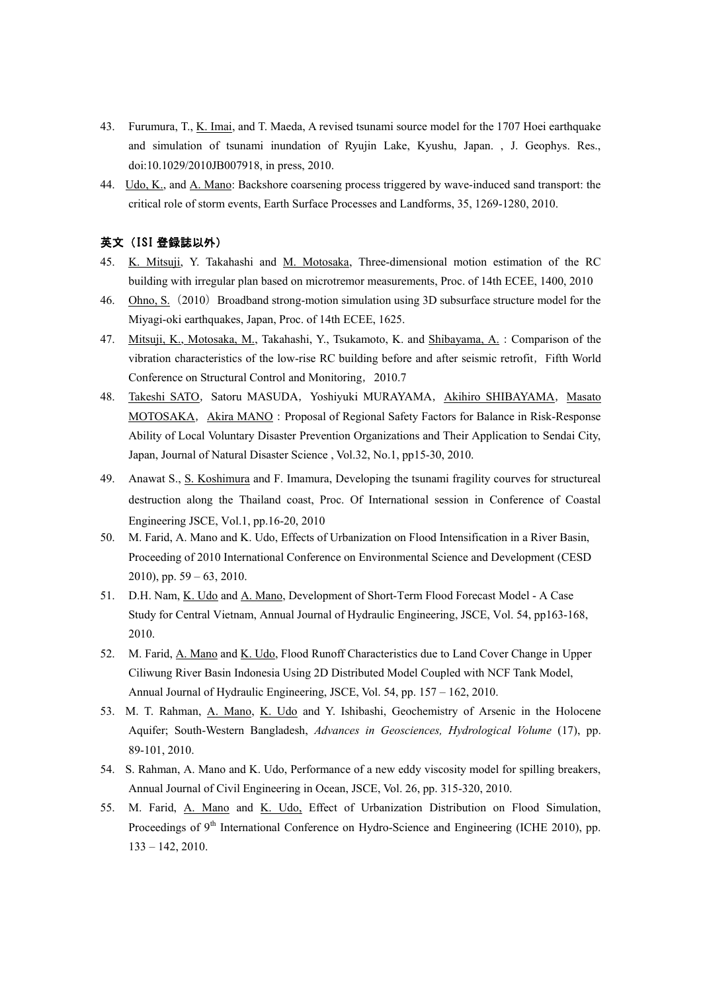- 43. Furumura, T., K. Imai, and T. Maeda, A revised tsunami source model for the 1707 Hoei earthquake and simulation of tsunami inundation of Ryujin Lake, Kyushu, Japan. , J. Geophys. Res., doi:10.1029/2010JB007918, in press, 2010.
- 44. Udo, K., and A. Mano: Backshore coarsening process triggered by wave-induced sand transport: the critical role of storm events, Earth Surface Processes and Landforms, 35, 1269-1280, 2010.

#### 英文(ISI 登録誌以外)

- 45. K. Mitsuji, Y. Takahashi and M. Motosaka, Three-dimensional motion estimation of the RC building with irregular plan based on microtremor measurements, Proc. of 14th ECEE, 1400, 2010
- 46. Ohno, S. (2010) Broadband strong-motion simulation using 3D subsurface structure model for the Miyagi-oki earthquakes, Japan, Proc. of 14th ECEE, 1625.
- 47. Mitsuji, K., Motosaka, M., Takahashi, Y., Tsukamoto, K. and Shibayama, A.:Comparison of the vibration characteristics of the low-rise RC building before and after seismic retrofit, Fifth World Conference on Structural Control and Monitoring,2010.7
- 48. Takeshi SATO, Satoru MASUDA, Yoshiyuki MURAYAMA, Akihiro SHIBAYAMA, Masato MOTOSAKA, Akira MANO: Proposal of Regional Safety Factors for Balance in Risk-Response Ability of Local Voluntary Disaster Prevention Organizations and Their Application to Sendai City, Japan, Journal of Natural Disaster Science , Vol.32, No.1, pp15-30, 2010.
- 49. Anawat S., S. Koshimura and F. Imamura, Developing the tsunami fragility courves for structureal destruction along the Thailand coast, Proc. Of International session in Conference of Coastal Engineering JSCE, Vol.1, pp.16-20, 2010
- 50. M. Farid, A. Mano and K. Udo, Effects of Urbanization on Flood Intensification in a River Basin, Proceeding of 2010 International Conference on Environmental Science and Development (CESD 2010), pp.  $59 - 63$ , 2010.
- 51. D.H. Nam, K. Udo and A. Mano, Development of Short-Term Flood Forecast Model A Case Study for Central Vietnam, Annual Journal of Hydraulic Engineering, JSCE, Vol. 54, pp163-168, 2010.
- 52. M. Farid, A. Mano and K. Udo, Flood Runoff Characteristics due to Land Cover Change in Upper Ciliwung River Basin Indonesia Using 2D Distributed Model Coupled with NCF Tank Model, Annual Journal of Hydraulic Engineering, JSCE, Vol. 54, pp. 157 – 162, 2010.
- 53. M. T. Rahman, A. Mano, K. Udo and Y. Ishibashi, Geochemistry of Arsenic in the Holocene Aquifer; South-Western Bangladesh, *Advances in Geosciences, Hydrological Volume* (17), pp. 89-101, 2010.
- 54. S. Rahman, A. Mano and K. Udo, Performance of a new eddy viscosity model for spilling breakers, Annual Journal of Civil Engineering in Ocean, JSCE, Vol. 26, pp. 315-320, 2010.
- 55. M. Farid, A. Mano and K. Udo, Effect of Urbanization Distribution on Flood Simulation, Proceedings of 9<sup>th</sup> International Conference on Hydro-Science and Engineering (ICHE 2010), pp. 133 – 142, 2010.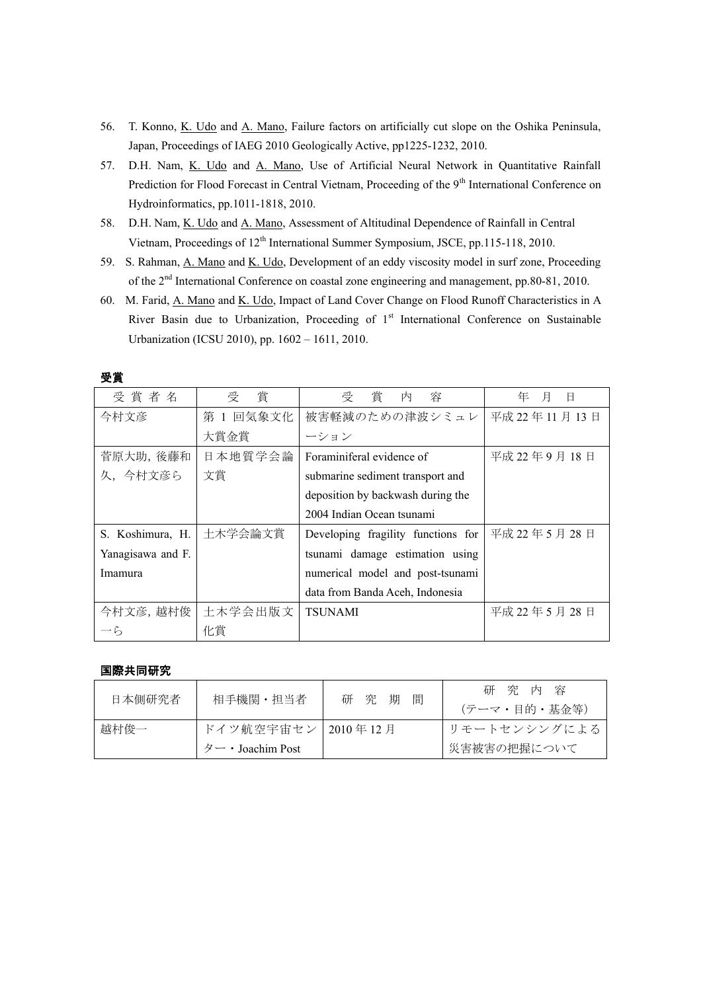- 56. T. Konno, K. Udo and A. Mano, Failure factors on artificially cut slope on the Oshika Peninsula, Japan, Proceedings of IAEG 2010 Geologically Active, pp1225-1232, 2010.
- 57. D.H. Nam, K. Udo and A. Mano, Use of Artificial Neural Network in Quantitative Rainfall Prediction for Flood Forecast in Central Vietnam, Proceeding of the 9<sup>th</sup> International Conference on Hydroinformatics, pp.1011-1818, 2010.
- 58. D.H. Nam, K. Udo and A. Mano, Assessment of Altitudinal Dependence of Rainfall in Central Vietnam, Proceedings of 12<sup>th</sup> International Summer Symposium, JSCE, pp.115-118, 2010.
- 59. S. Rahman, A. Mano and K. Udo, Development of an eddy viscosity model in surf zone, Proceeding of the 2nd International Conference on coastal zone engineering and management, pp.80-81, 2010.
- 60. M. Farid, A. Mano and K. Udo, Impact of Land Cover Change on Flood Runoff Characteristics in A River Basin due to Urbanization, Proceeding of 1<sup>st</sup> International Conference on Sustainable Urbanization (ICSU 2010), pp. 1602 – 1611, 2010.

| 受賞者名              | 賞<br>受    | 受<br>賞<br>容<br>内                   | 月<br>年<br>日  |
|-------------------|-----------|------------------------------------|--------------|
| 今村文彦              | 第 1 回気象文化 | 被害軽減のための津波シミュレ                     | 平成 22年11月13日 |
|                   | 大賞金賞      | ーション                               |              |
| 菅原大助, 後藤和         | 日本地質学会論   | Foraminiferal evidence of          | 平成 22年9月18日  |
| 久、今村文彦ら           | 文賞        | submarine sediment transport and   |              |
|                   |           | deposition by backwash during the  |              |
|                   |           | 2004 Indian Ocean tsunami          |              |
| S. Koshimura, H.  | 土木学会論文賞   | Developing fragility functions for | 平成 22年5月 28日 |
| Yanagisawa and F. |           | tsunami damage estimation using    |              |
| Imamura           |           | numerical model and post-tsunami   |              |
|                   |           | data from Banda Aceh, Indonesia    |              |
| 今村文彦, 越村俊         | 土木学会出版文   | <b>TSUNAMI</b>                     | 平成 22年5月28日  |
| ーら                | 化賞        |                                    |              |

受賞

#### 国際共同研究

| 日本側研究者 | 相手機関・担当者                           | 間<br>研究期 | 研究内容<br>(テーマ・目的・基金等) |
|--------|------------------------------------|----------|----------------------|
| 越村俊一   | ドイツ航空宇宙セン   2010年12月               |          | ┃リモートセンシングによる        |
|        | $\beta$ $\rightarrow$ Joachim Post |          | 災害被害の把握について          |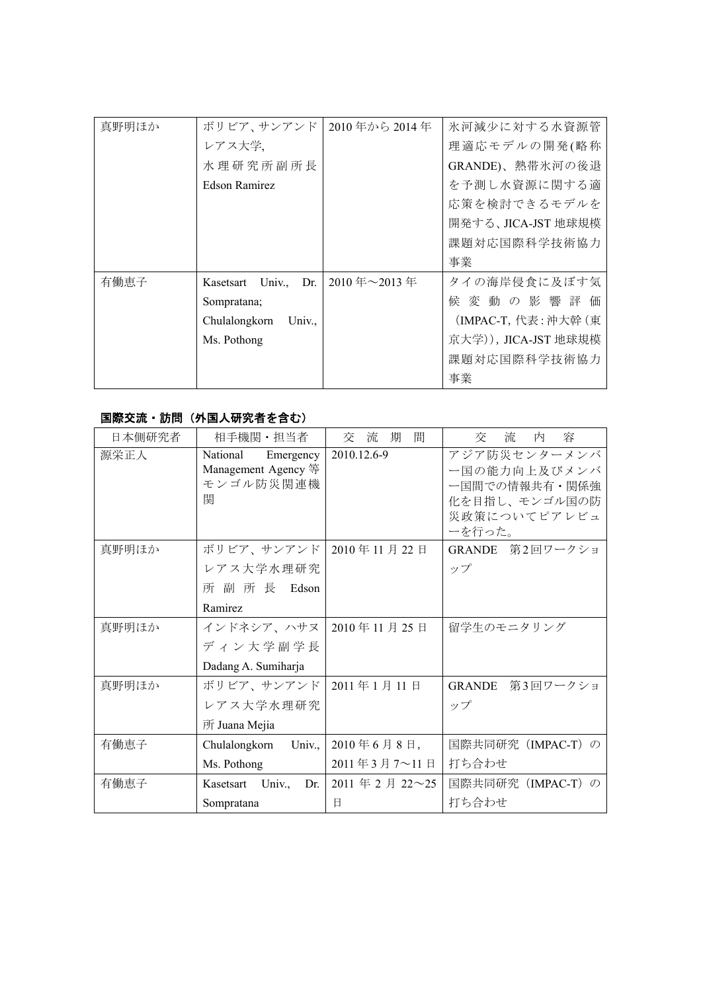| 真野明ほか | ボリビア、サンアンド                         | 2010年から2014年         | 氷河減少に対する水資源管         |
|-------|------------------------------------|----------------------|----------------------|
|       | レアス大学、                             |                      | 理適応モデルの開発(略称         |
|       | 水理研究所副所長                           |                      | GRANDE)、熱帯氷河の後退      |
|       | Edson Ramirez                      |                      | を予測し水資源に関する適         |
|       |                                    |                      | 応策を検討できるモデルを         |
|       |                                    |                      | 開発する、JICA-JST 地球規模   |
|       |                                    |                      | 課題対応国際科学技術協力         |
|       |                                    |                      | 事業                   |
| 有働恵子  | Univ., Dr.<br>Kasetsart            | $\mid$ 2010 年~2013 年 | タイの海岸侵食に及ぼす気         |
|       | Sompratana;                        |                      | 候 変 動 の 影 響 評 価      |
|       | Chulalongkorn<br>Univ <sub>.</sub> |                      | (IMPAC-T, 代表: 沖大幹 (東 |
|       | Ms. Pothong                        |                      | 京大学)), JICA-JST 地球規模 |
|       |                                    |                      | 課題対応国際科学技術協力         |
|       |                                    |                      | 事業                   |

### 国際交流・訪問(外国人研究者を含む)

| 日本側研究者 | 相手機関·担当者                                     | 間<br>流<br>期<br>交                                      | 流<br>容<br>内<br>交             |
|--------|----------------------------------------------|-------------------------------------------------------|------------------------------|
| 源栄正人   | National<br>Emergency<br>Management Agency 等 | 2010.12.6-9                                           | アジア防災センターメンバ<br>一国の能力向上及びメンバ |
|        | モンゴル防災関連機                                    |                                                       | ー国間での情報共有・関係強                |
|        | 関                                            |                                                       | 化を目指し、モンゴル国の防                |
|        |                                              |                                                       | 災政策についてピアレビュ                 |
|        |                                              |                                                       | ーを行った。                       |
| 真野明ほか  | ボリビア、サンアンド                                   | 2010年11月22日                                           | GRANDE 第2回ワークショ              |
|        | レアス大学水理研究                                    |                                                       | ップ                           |
|        | 所 副 所 長 Edson                                |                                                       |                              |
|        | Ramirez                                      |                                                       |                              |
| 真野明ほか  | インドネシア、ハサヌ丨                                  | 2010年11月25日                                           | 留学生のモニタリング                   |
|        | ディン大学副学長                                     |                                                       |                              |
|        | Dadang A. Sumiharja                          |                                                       |                              |
| 真野明ほか  | ボリビア、サンアンド                                   | 2011年1月11日                                            | GRANDE 第3回ワークショ              |
|        | レアス大学水理研究                                    |                                                       | ップ                           |
|        | 所 Juana Mejia                                |                                                       |                              |
| 有働恵子   | Univ.,<br>Chulalongkorn                      | $2010$ 年6月8日,                                         | 国際共同研究 (IMPAC-T) の           |
|        | Ms. Pothong                                  | 2011年3月7~11日                                          | 打ち合わせ                        |
| 有働恵子   | Kasetsart Univ.,<br>Dr.                      | $2011 \nleftrightarrow 2 \nleftrightarrow 22 \sim 25$ | 国際共同研究(IMPAC-T)の             |
|        | Sompratana                                   | E                                                     | 打ち合わせ                        |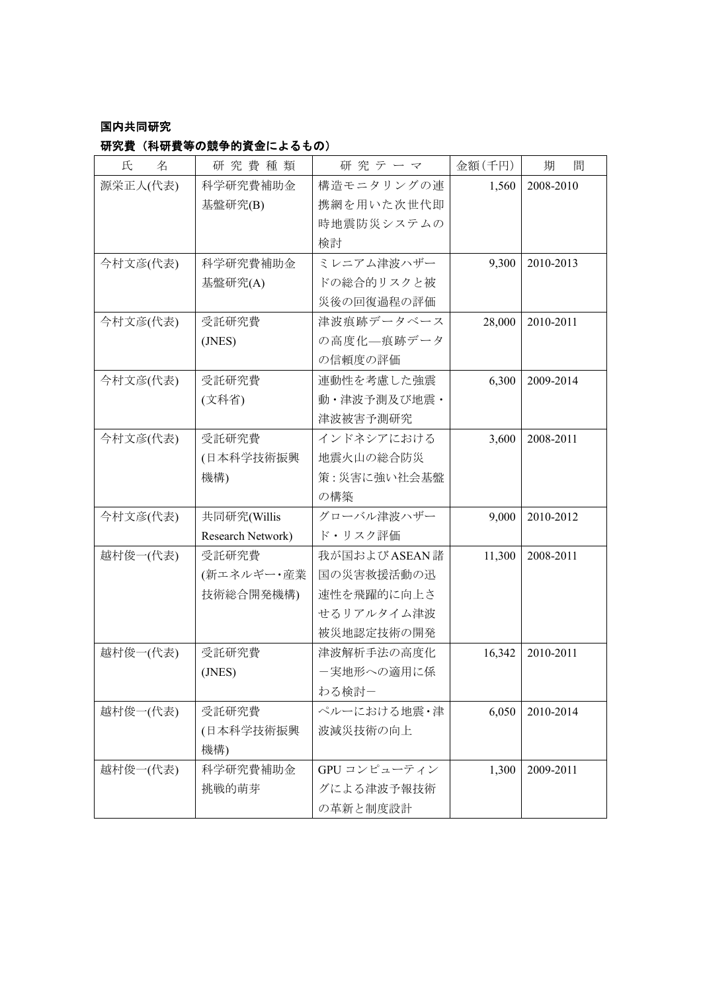## 国内共同研究

## 研究費(科研費等の競争的資金によるもの)

| 氏<br>名   | 研究費種類             | 研究テーマ        | 金額(千円) | 間<br>期    |
|----------|-------------------|--------------|--------|-----------|
| 源栄正人(代表) | 科学研究費補助金          | 構造モニタリングの連   | 1,560  | 2008-2010 |
|          | 基盤研究(B)           | 携網を用いた次世代即   |        |           |
|          |                   | 時地震防災システムの   |        |           |
|          |                   | 検討           |        |           |
| 今村文彦(代表) | 科学研究費補助金          | ミレニアム津波ハザー   | 9,300  | 2010-2013 |
|          | 基盤研究(A)           | ドの総合的リスクと被   |        |           |
|          |                   | 災後の回復過程の評価   |        |           |
| 今村文彦(代表) | 受託研究費             | 津波痕跡データベース   | 28,000 | 2010-2011 |
|          | (JNES)            | の高度化–痕跡データ   |        |           |
|          |                   | の信頼度の評価      |        |           |
| 今村文彦(代表) | 受託研究費             | 連動性を考慮した強震   | 6,300  | 2009-2014 |
|          | (文科省)             | 動・津波予測及び地震・  |        |           |
|          |                   | 津波被害予測研究     |        |           |
| 今村文彦(代表) | 受託研究費             | インドネシアにおける   | 3,600  | 2008-2011 |
|          | (日本科学技術振興         | 地震火山の総合防災    |        |           |
|          | 機構)               | 策:災害に強い社会基盤  |        |           |
|          |                   | の構築          |        |           |
| 今村文彦(代表) | 共同研究(Willis       | グローバル津波ハザー   | 9,000  | 2010-2012 |
|          | Research Network) | ド・リスク評価      |        |           |
| 越村俊一(代表) | 受託研究費             | 我が国およびASEAN諸 | 11,300 | 2008-2011 |
|          | (新エネルギー・産業        | 国の災害救援活動の迅   |        |           |
|          | 技術総合開発機構)         | 速性を飛躍的に向上さ   |        |           |
|          |                   | せるリアルタイム津波   |        |           |
|          |                   | 被災地認定技術の開発   |        |           |
| 越村俊一(代表) | 受託研究費             | 津波解析手法の高度化   | 16,342 | 2010-2011 |
|          | (JNES)            | ー実地形への適用に係   |        |           |
|          |                   | わる検討-        |        |           |
| 越村俊一(代表) | 受託研究費             | ペルーにおける地震・津  | 6,050  | 2010-2014 |
|          | (日本科学技術振興         | 波減災技術の向上     |        |           |
|          | 機構)               |              |        |           |
| 越村俊一(代表) | 科学研究費補助金          | GPU コンピューティン | 1,300  | 2009-2011 |
|          | 挑戦的萌芽             | グによる津波予報技術   |        |           |
|          |                   | の革新と制度設計     |        |           |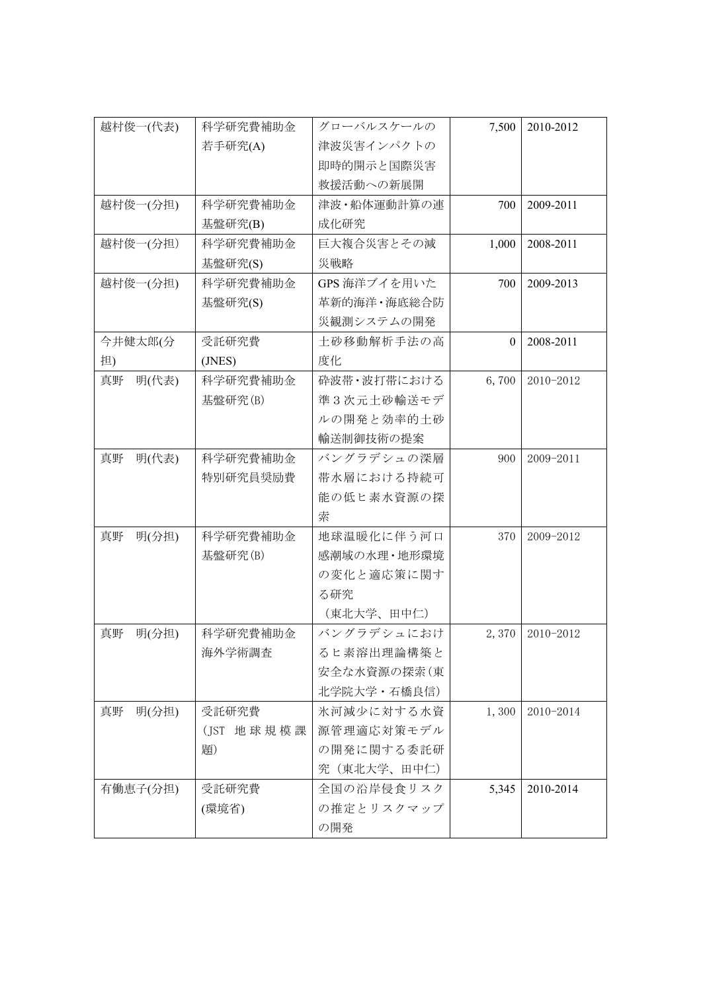| 越村俊一(代表)    | 科学研究費補助金       | グローバルスケールの    | 7,500    | 2010-2012 |
|-------------|----------------|---------------|----------|-----------|
| 若手研究(A)     |                | 津波災害インパクトの    |          |           |
|             |                | 即時的開示と国際災害    |          |           |
|             |                | 救援活動への新展開     |          |           |
| 越村俊一(分担)    | 科学研究費補助金       | 津波・船体運動計算の連   | 700      | 2009-2011 |
|             | 基盤研究(B)        | 成化研究          |          |           |
| 越村俊一(分担)    | 科学研究費補助金       | 巨大複合災害とその減    | 1,000    | 2008-2011 |
|             | 基盤研究(S)        | 災戦略           |          |           |
| 越村俊一(分担)    | 科学研究費補助金       | GPS 海洋ブイを用いた  | 700      | 2009-2013 |
|             | 基盤研究(S)        | 革新的海洋·海底総合防   |          |           |
|             |                | 災観測システムの開発    |          |           |
| 今井健太郎(分     | 受託研究費          | 土砂移動解析手法の高    | $\theta$ | 2008-2011 |
| 担)          | (JNES)         | 度化            |          |           |
| 明(代表)<br>真野 | 科学研究費補助金       | 砕波帯・波打帯における   | 6,700    | 2010-2012 |
|             | 基盤研究(B)        | 準3次元土砂輸送モデ    |          |           |
|             |                | ルの開発と効率的土砂    |          |           |
|             |                | 輸送制御技術の提案     |          |           |
| 明(代表)<br>真野 | 科学研究費補助金       | バングラデシュの深層    | 900      | 2009-2011 |
|             | 特別研究員奨励費       | 帯水層における持続可    |          |           |
|             |                | 能の低ヒ素水資源の探    |          |           |
|             |                | 索             |          |           |
| 明(分担)<br>真野 | 科学研究費補助金       | 地球温暖化に伴う河口    | 370      | 2009-2012 |
|             | 基盤研究(B)        | 感潮域の水理・地形環境   |          |           |
|             |                | の変化と適応策に関す    |          |           |
|             |                | る研究           |          |           |
|             |                | (東北大学、田中仁)    |          |           |
| 真野<br>明(分担) | 科学研究費補助金       | バングラデシュにおけ    | 2,370    | 2010-2012 |
|             | 海外学術調査         | るヒ素溶出理論構築と    |          |           |
|             |                | 安全な水資源の探索(東   |          |           |
|             |                | 北学院大学 · 石橋良信) |          |           |
| 明(分担)<br>真野 | 受託研究費          | 氷河減少に対する水資    | 1,300    | 2010-2014 |
|             | (JST)<br>地球規模課 | 源管理適応対策モデル    |          |           |
|             | 題)             | の開発に関する委託研    |          |           |
|             |                | 究 (東北大学、田中仁)  |          |           |
| 有働恵子(分担)    | 受託研究費          | 全国の沿岸侵食リスク    | 5,345    | 2010-2014 |
|             | (環境省)          | の推定とリスクマップ    |          |           |
|             |                | の開発           |          |           |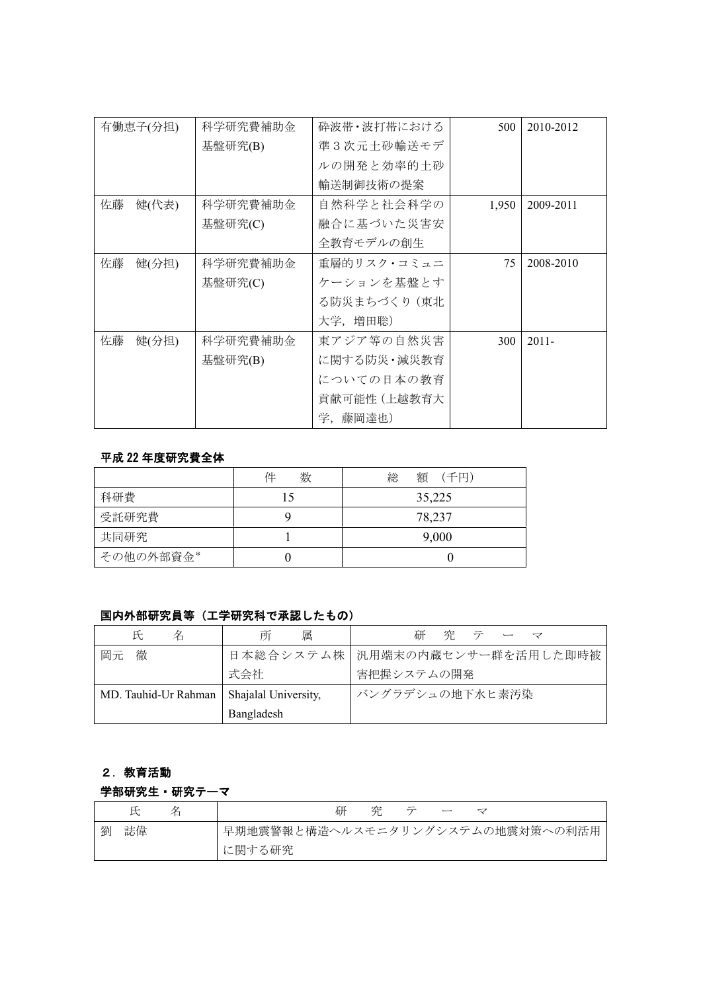| 科学研究費補助金<br>有働恵子(分担) |          | 砕波帯・波打帯における  | 500   | 2010-2012 |
|----------------------|----------|--------------|-------|-----------|
|                      | 基盤研究(B)  | 準3次元土砂輸送モデ   |       |           |
|                      |          | ルの開発と効率的土砂   |       |           |
|                      |          | 輸送制御技術の提案    |       |           |
| 佐藤<br>健(代表)          | 科学研究費補助金 | 自然科学と社会科学の   | 1,950 | 2009-2011 |
|                      | 基盤研究(C)  | 融合に基づいた災害安   |       |           |
|                      |          | 全教育モデルの創生    |       |           |
| 佐藤<br>健(分担)          | 科学研究費補助金 | 重層的リスク・コミュニ  | 75    | 2008-2010 |
|                      | 基盤研究(C)  | ケーションを基盤とす   |       |           |
|                      |          | る防災まちづくり(東北  |       |           |
|                      |          | 大学,増田聡)      |       |           |
| 佐藤<br>健(分担)          | 科学研究費補助金 | 東アジア等の自然災害   | 300   | $2011 -$  |
|                      | 基盤研究(B)  | に関する防災・減災教育  |       |           |
|                      |          | についての日本の教育   |       |           |
|                      |          | 貢献可能性 (上越教育大 |       |           |
|                      |          | 学,藤岡達也)      |       |           |

#### 平成 22 年度研究費全体

|           | 件<br>数 | 総<br>額 (千円) |
|-----------|--------|-------------|
| 科研費       |        | 35,225      |
| 受託研究費     |        | 78,237      |
| 共同研究      |        | 9,000       |
| その他の外部資金* |        |             |

## 国内外部研究員等(工学研究科で承認したもの)

| 名<br>氏                                      | 属<br>所     | 研<br>空<br>テ                      |
|---------------------------------------------|------------|----------------------------------|
| 徹<br>岡元                                     |            | 日本総合システム株   汎用端末の内蔵センサー群を活用した即時被 |
|                                             | 式会社        | 害把握システムの開発                       |
| MD. Tauhid-Ur Rahman   Shajalal University, |            | バングラデシュの地下水ヒ素汚染                  |
|                                             | Bangladesh |                                  |

# 2.教育活動

#### 学部研究生・研究テーマ

|   |    | 研<br>笫                           |
|---|----|----------------------------------|
| 劉 | 誌偉 | 早期地震警報と構造ヘルスモニタリングシステムの地震対策への利活用 |
|   |    | に関する研究                           |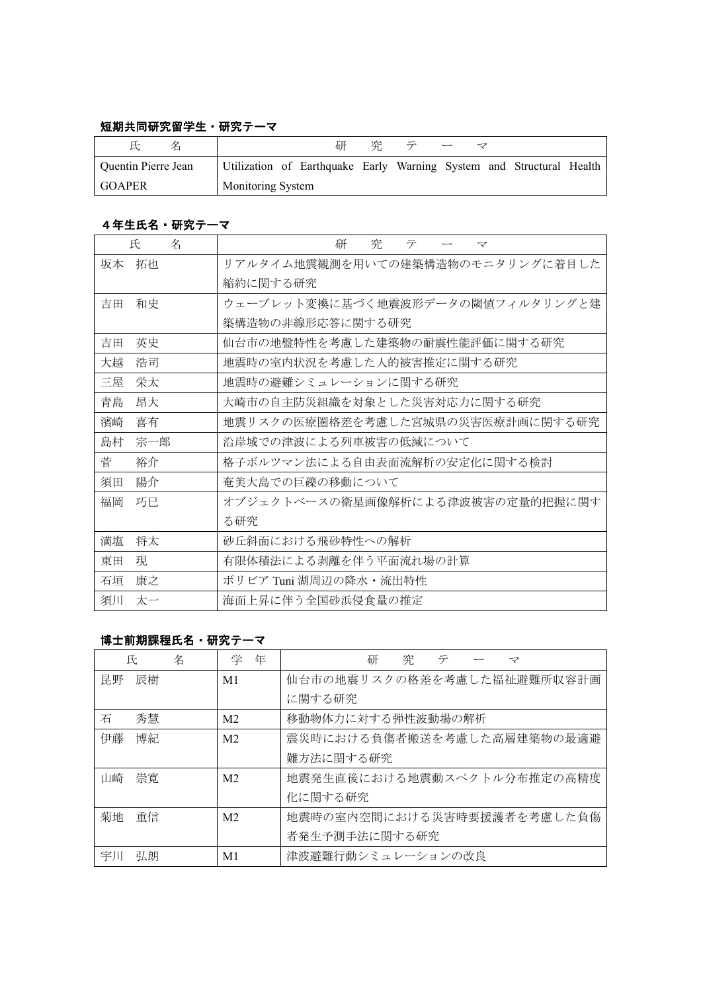## 短期共同研究留学生・研究テーマ

|                     |                   | 研                                                                    | 空 | $\overline{\tau}$ |  |  |
|---------------------|-------------------|----------------------------------------------------------------------|---|-------------------|--|--|
| Quentin Pierre Jean |                   | Utilization of Earthquake Early Warning System and Structural Health |   |                   |  |  |
| <b>GOAPER</b>       | Monitoring System |                                                                      |   |                   |  |  |

### 4年生氏名・研究テーマ

| 氏<br>名    | 研<br>究<br>テ<br>マ                 |
|-----------|----------------------------------|
| 拓也<br>坂本  | リアルタイム地震観測を用いての建築構造物のモニタリングに着目した |
|           | 縮約に関する研究                         |
| 吉田<br>和史  | ウェーブレット変換に基づく地震波形データの閾値フィルタリングと建 |
|           | 築構造物の非線形応答に関する研究                 |
| 英史<br>吉田  | 仙台市の地盤特性を考慮した建築物の耐震性能評価に関する研究    |
| 大越<br>浩司  | 地震時の室内状況を考慮した人的被害推定に関する研究        |
| 栄太<br>三屋  | 地震時の避難シミュレーションに関する研究             |
| 昂大<br>青島  | 大崎市の自主防災組織を対象とした災害対応力に関する研究      |
| 濱崎<br>喜有  | 地震リスクの医療圏格差を考慮した宮城県の災害医療計画に関する研究 |
| 宗一郎<br>島村 | 沿岸域での津波による列車被害の低減について            |
| 菅<br>裕介   | 格子ボルツマン法による自由表面流解析の安定化に関する検討     |
| 陽介<br>須田  | 奄美大島での巨礫の移動について                  |
| 福岡<br>巧巳  | オブジェクトベースの衛星画像解析による津波被害の定量的把握に関す |
|           | る研究                              |
| 満塩<br>将太  | 砂丘斜面における飛砂特性への解析                 |
| 現<br>東田   | 有限体積法による剥離を伴う平面流れ場の計算            |
| 康之<br>石垣  | ボリビア Tuni 湖周辺の降水・流出特性            |
| 須川<br>太一  | 海面上昇に伴う全国砂浜侵食量の推定                |

### 博士前期課程氏名・研究テーマ

|    | 氏  | 名 | 学              | 年 | 究<br>研<br>テ<br>$\prec$     |
|----|----|---|----------------|---|----------------------------|
| 昆野 | 辰樹 |   | M1             |   | 仙台市の地震リスクの格差を考慮した福祉避難所収容計画 |
|    |    |   |                |   | に関する研究                     |
| 石  | 秀慧 |   | M <sub>2</sub> |   | 移動物体力に対する弾性波動場の解析          |
| 伊藤 | 博紀 |   | M <sub>2</sub> |   | 震災時における負傷者搬送を考慮した高層建築物の最適避 |
|    |    |   |                |   | 難方法に関する研究                  |
| 山崎 | 崇寛 |   | M <sub>2</sub> |   | 地震発生直後における地震動スペクトル分布推定の高精度 |
|    |    |   |                |   | 化に関する研究                    |
| 菊地 | 重信 |   | M <sub>2</sub> |   | 地震時の室内空間における災害時要援護者を考慮した負傷 |
|    |    |   |                |   | 者発生予測手法に関する研究              |
| 宇川 | 弘朗 |   | M1             |   | 津波避難行動シミュレーションの改良          |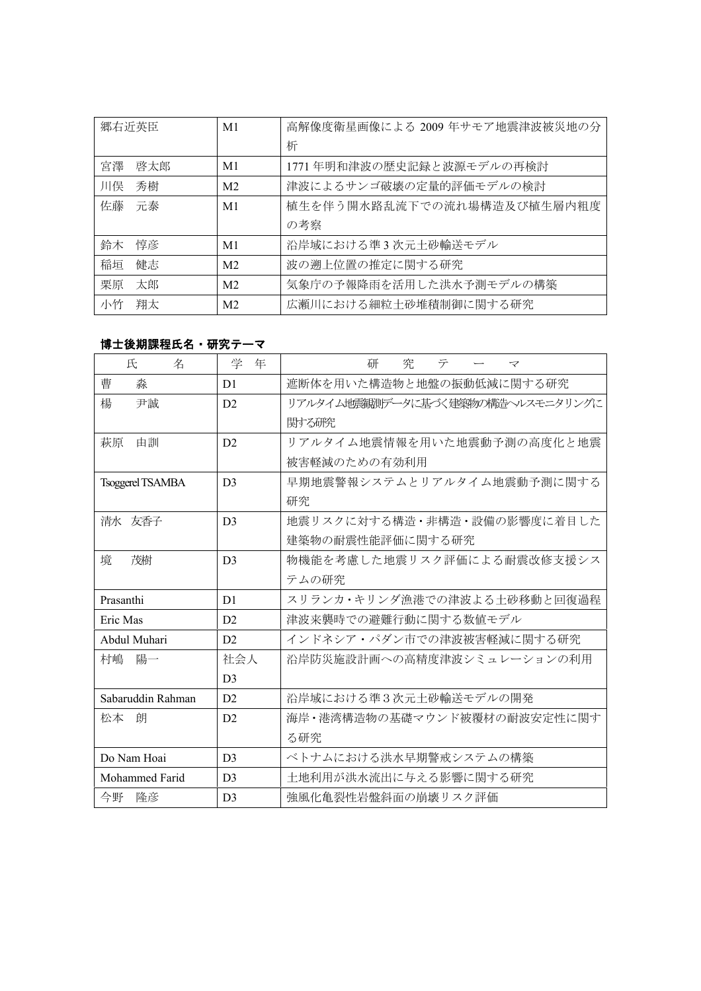| 郷右近英臣     | M1             | 高解像度衛星画像による 2009 年サモア地震津波被災地の分 |
|-----------|----------------|--------------------------------|
|           |                | 析                              |
| 啓太郎<br>宮澤 | M1             | 1771年明和津波の歴史記録と波源モデルの再検討       |
| 川俣<br>秀樹  | M <sub>2</sub> | 津波によるサンゴ破壊の定量的評価モデルの検討         |
| 佐藤<br>元泰  | M <sub>1</sub> | 植生を伴う開水路乱流下での流れ場構造及び植生層内粗度     |
|           |                | の考察                            |
| 鈴木<br>惇彦  | M1             | 沿岸域における準3次元土砂輸送モデル             |
| 稲垣<br>健志  | M <sub>2</sub> | 波の遡上位置の推定に関する研究                |
| 栗原<br>太郎  | M <sub>2</sub> | 気象庁の予報降雨を活用した洪水予測モデルの構築        |
| 小竹<br>翔太  | M <sub>2</sub> | 広瀬川における細粒土砂堆積制御に関する研究          |

# 博士後期課程氏名・研究テーマ

| 氏<br>名                  | 学<br>年         | テ<br>究<br>研<br>マ                  |
|-------------------------|----------------|-----------------------------------|
| 曹<br>淼                  | D <sub>1</sub> | 遮断体を用いた構造物と地盤の振動低減に関する研究          |
| 楊<br>尹誠                 | D2             | リアルタイム地震観測データに基づく建築物の構造ヘルスモニタリングに |
|                         |                | 関する研究                             |
| 由訓<br>萩原                | D2             | リアルタイム地震情報を用いた地震動予測の高度化と地震        |
|                         |                | 被害軽減のための有効利用                      |
| <b>Tsoggerel TSAMBA</b> | D <sub>3</sub> | 早期地震警報システムとリアルタイム地震動予測に関する        |
|                         |                | 研究                                |
| 清水 友香子                  | D <sub>3</sub> | 地震リスクに対する構造・非構造・設備の影響度に着目した       |
|                         |                | 建築物の耐震性能評価に関する研究                  |
| 境<br>茂樹                 | D <sup>3</sup> | 物機能を考慮した地震リスク評価による耐震改修支援シス        |
|                         |                | テムの研究                             |
| Prasanthi               | D <sub>1</sub> | スリランカ・キリンダ漁港での津波よる土砂移動と回復過程       |
| Eric Mas                | D2             | 津波来襲時での避難行動に関する数値モデル              |
| Abdul Muhari            | D2             | インドネシア・パダン市での津波被害軽減に関する研究         |
| 村嶋<br>陽一                | 社会人            | 沿岸防災施設計画への高精度津波シミュレーションの利用        |
|                         | D <sub>3</sub> |                                   |
| Sabaruddin Rahman       | D2             | 沿岸域における準3次元土砂輸送モデルの開発             |
| 松本<br>朗                 | D2             | 海岸・港湾構造物の基礎マウンド被覆材の耐波安定性に関す       |
|                         |                | る研究                               |
| Do Nam Hoai             | D <sub>3</sub> | ベトナムにおける洪水早期警戒システムの構築             |
| Mohammed Farid          | D <sub>3</sub> | 土地利用が洪水流出に与える影響に関する研究             |
| 今野<br>降彦                | D <sub>3</sub> | 強風化亀裂性岩盤斜面の崩壊リスク評価                |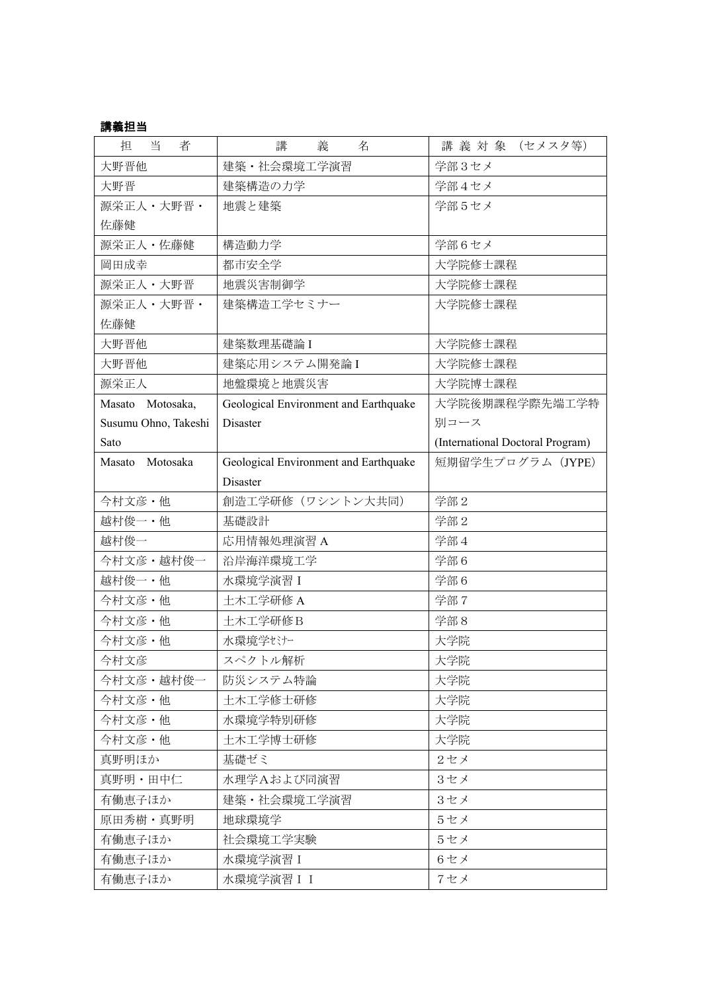# 講義担当

| 当<br>担<br>者          | 講<br>義<br>名                           | 講義 対 象 (セメスタ等)                   |
|----------------------|---------------------------------------|----------------------------------|
| 大野晋他                 | 建築·社会環境工学演習                           | 学部3セメ                            |
| 大野晋                  | 建築構造の力学                               | 学部4セメ                            |
| 源栄正人·大野晋·            | 地震と建築                                 | 学部5セメ                            |
| 佐藤健                  |                                       |                                  |
| 源栄正人・佐藤健             | 構造動力学                                 | 学部6セメ                            |
| 岡田成幸                 | 都市安全学                                 | 大学院修士課程                          |
| 源栄正人・大野晋             | 地震災害制御学                               | 大学院修士課程                          |
| 源栄正人·大野晋·            | 建築構造工学セミナー                            | 大学院修士課程                          |
| 佐藤健                  |                                       |                                  |
| 大野晋他                 | 建築数理基礎論I                              | 大学院修士課程                          |
| 大野晋他                 | 建築応用システム開発論I                          | 大学院修士課程                          |
| 源栄正人                 | 地盤環境と地震災害                             | 大学院博士課程                          |
| Masato Motosaka,     | Geological Environment and Earthquake | 大学院後期課程学際先端工学特                   |
| Susumu Ohno, Takeshi | Disaster                              | 別コース                             |
| Sato                 |                                       | (International Doctoral Program) |
| Masato Motosaka      | Geological Environment and Earthquake | 短期留学生プログラム (JYPE)                |
|                      | <b>Disaster</b>                       |                                  |
| 今村文彦·他               | 創造工学研修 (ワシントン大共同)                     | 学部 2                             |
| 越村俊一·他               | 基礎設計                                  | 学部 2                             |
| 越村俊一                 | 応用情報処理演習 A                            | 学部4                              |
| 今村文彦·越村俊一            | 沿岸海洋環境工学                              | 学部6                              |
| 越村俊一·他               | 水環境学演習 I                              | 学部6                              |
| 今村文彦・他               | 土木工学研修 A                              | 学部7                              |
| 今村文彦·他               | 土木工学研修B                               | 学部8                              |
| 今村文彦・他               | 水環境学セミナー                              | 大学院                              |
| 今村文彦                 | スペクトル解析                               | 大学院                              |
| 今村文彦・越村俊一            | 防災システム特論                              | 大学院                              |
| 今村文彦・他               | 土木工学修士研修                              | 大学院                              |
| 今村文彦・他               | 水環境学特別研修                              | 大学院                              |
| 今村文彦・他               | 土木工学博士研修                              | 大学院                              |
| 真野明ほか                | 基礎ゼミ                                  | 2セメ                              |
| 真野明・田中仁              | 水理学Aおよび同演習                            | 3セメ                              |
| 有働恵子ほか               | 建築・社会環境工学演習                           | 3セメ                              |
| 原田秀樹・真野明             | 地球環境学                                 | 5セメ                              |
| 有働恵子ほか               | 社会環境工学実験                              | 5セメ                              |
| 有働恵子ほか               | 水環境学演習 I                              | 6セメ                              |
| 有働恵子ほか               | 水環境学演習 I I                            | 7セメ                              |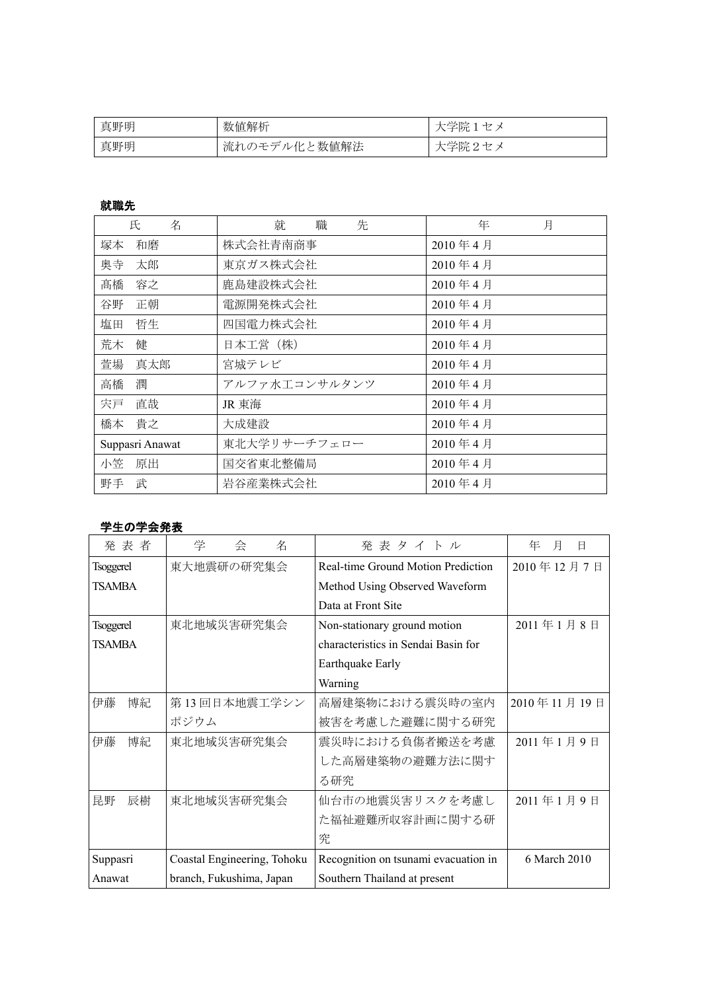| 真野明 | 数值解析             | 兴贮<br>$+$<br>۰Pπ                          |
|-----|------------------|-------------------------------------------|
| 真野明 | ル化と数値解法<br>流れのモデ | 学院<br>のセ<br>$\overline{\phantom{0}}$<br>◡ |

# 就職先

| 氏<br>名          | 先<br>就<br>職   | 年<br>月       |
|-----------------|---------------|--------------|
| 塚本<br>和磨        | 株式会社青南商事      | 2010年4月      |
| 奥寺<br>太郎        | 東京ガス株式会社      | $2010$ 年 4 月 |
| 髙橋<br>容之        | 鹿島建設株式会社      | 2010年4月      |
| 谷野<br>正朝        | 電源開発株式会社      | 2010年4月      |
| 塩田<br>哲生        | 四国電力株式会社      | 2010年4月      |
| 荒木<br>健         | 日本工営 (株)      | 2010年4月      |
| 萱場<br>真太郎       | 宮城テレビ         | 2010年4月      |
| 潤<br>高橋         | アルファ水工コンサルタンツ | 2010年4月      |
| 宍戸<br>直哉        | JR 東海         | 2010年4月      |
| 橋本<br>貴之        | 大成建設          | $2010$ 年 4 月 |
| Suppasri Anawat | 東北大学リサーチフェロー  | $2010$ 年 4 月 |
| 小笠<br>原出        | 国交省東北整備局      | 2010年4月      |
| 武<br>野手         | 岩谷産業株式会社      | 2010年4月      |

### 学生の学会発表

| 発表者              | 学<br>名<br>会                 | 発表タイトル                               | 月<br>年<br>B  |
|------------------|-----------------------------|--------------------------------------|--------------|
| <b>Tsoggerel</b> | 東大地震研の研究集会                  | Real-time Ground Motion Prediction   | 2010年12月7日   |
| TSAMBA           |                             | Method Using Observed Waveform       |              |
|                  |                             | Data at Front Site                   |              |
| <b>Tsoggerel</b> | 東北地域災害研究集会                  | Non-stationary ground motion         | 2011年1月8日    |
| <b>TSAMBA</b>    |                             | characteristics in Sendai Basin for  |              |
|                  |                             | Earthquake Early                     |              |
|                  |                             | Warning                              |              |
| 伊藤<br>博紀         | 第13回日本地震工学シン                | 高層建築物における震災時の室内                      | 2010年11月19日  |
|                  | ポジウム                        | 被害を考慮した避難に関する研究                      |              |
| 伊藤<br>博紀         | 東北地域災害研究集会                  | 震災時における負傷者搬送を考慮                      | 2011年1月9日    |
|                  |                             | した高層建築物の避難方法に関す                      |              |
|                  |                             | る研究                                  |              |
| 昆野<br>辰樹         | 東北地域災害研究集会                  | 仙台市の地震災害リスクを考慮し                      | 2011年1月9日    |
|                  |                             | た福祉避難所収容計画に関する研                      |              |
|                  |                             | 究                                    |              |
| Suppasri         | Coastal Engineering, Tohoku | Recognition on tsunami evacuation in | 6 March 2010 |
| Anawat           | branch, Fukushima, Japan    | Southern Thailand at present         |              |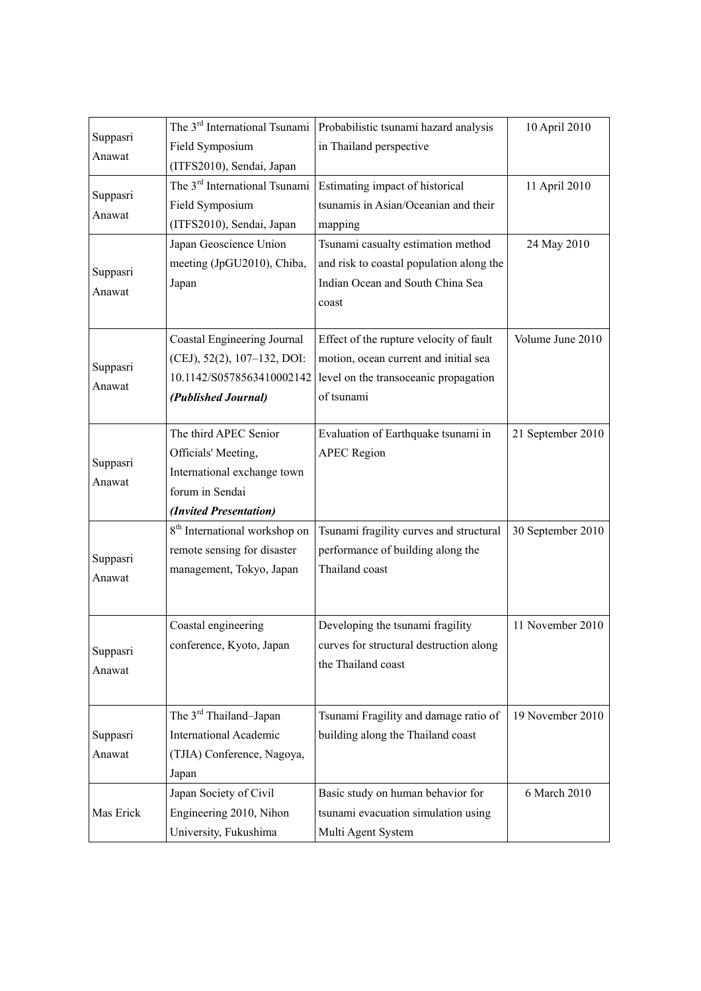| Suppasri  | The 3 <sup>rd</sup> International Tsunami | Probabilistic tsunami hazard analysis    | 10 April 2010     |
|-----------|-------------------------------------------|------------------------------------------|-------------------|
| Anawat    | Field Symposium                           | in Thailand perspective                  |                   |
|           | (ITFS2010), Sendai, Japan                 |                                          |                   |
| Suppasri  | The 3 <sup>rd</sup> International Tsunami | Estimating impact of historical          | 11 April 2010     |
|           | Field Symposium                           | tsunamis in Asian/Oceanian and their     |                   |
| Anawat    | (ITFS2010), Sendai, Japan                 | mapping                                  |                   |
|           | Japan Geoscience Union                    | Tsunami casualty estimation method       | 24 May 2010       |
| Suppasri  | meeting (JpGU2010), Chiba,                | and risk to coastal population along the |                   |
| Anawat    | Japan                                     | Indian Ocean and South China Sea         |                   |
|           |                                           | coast                                    |                   |
|           | Coastal Engineering Journal               | Effect of the rupture velocity of fault  | Volume June 2010  |
| Suppasri  | (CEJ), 52(2), 107-132, DOI:               | motion, ocean current and initial sea    |                   |
| Anawat    | 10.1142/S0578563410002142                 | level on the transoceanic propagation    |                   |
|           | (Published Journal)                       | of tsunami                               |                   |
|           | The third APEC Senior                     | Evaluation of Earthquake tsunami in      | 21 September 2010 |
|           | Officials' Meeting,                       | <b>APEC Region</b>                       |                   |
| Suppasri  | International exchange town               |                                          |                   |
| Anawat    | forum in Sendai                           |                                          |                   |
|           | (Invited Presentation)                    |                                          |                   |
|           | 8 <sup>th</sup> International workshop on | Tsunami fragility curves and structural  | 30 September 2010 |
| Suppasri  | remote sensing for disaster               | performance of building along the        |                   |
| Anawat    | management, Tokyo, Japan                  | Thailand coast                           |                   |
|           |                                           |                                          |                   |
|           | Coastal engineering                       | Developing the tsunami fragility         | 11 November 2010  |
| Suppasri  | conference, Kyoto, Japan                  | curves for structural destruction along  |                   |
| Anawat    |                                           | the Thailand coast                       |                   |
|           |                                           |                                          |                   |
|           | The 3 <sup>rd</sup> Thailand-Japan        | Tsunami Fragility and damage ratio of    | 19 November 2010  |
| Suppasri  | <b>International Academic</b>             | building along the Thailand coast        |                   |
| Anawat    | (TJIA) Conference, Nagoya,                |                                          |                   |
|           | Japan                                     |                                          |                   |
|           | Japan Society of Civil                    | Basic study on human behavior for        | 6 March 2010      |
| Mas Erick | Engineering 2010, Nihon                   | tsunami evacuation simulation using      |                   |
|           | University, Fukushima                     | Multi Agent System                       |                   |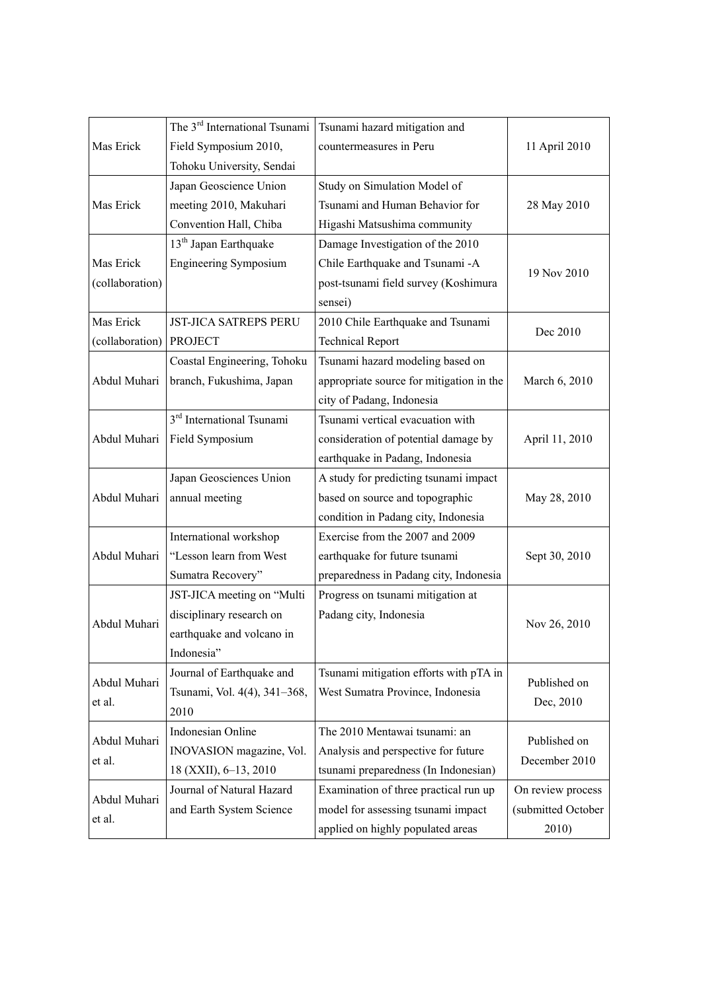|                 | The 3 <sup>rd</sup> International Tsunami | Tsunami hazard mitigation and            |                               |
|-----------------|-------------------------------------------|------------------------------------------|-------------------------------|
| Mas Erick       | Field Symposium 2010,                     | countermeasures in Peru                  | 11 April 2010                 |
|                 | Tohoku University, Sendai                 |                                          |                               |
|                 | Japan Geoscience Union                    | Study on Simulation Model of             |                               |
| Mas Erick       | meeting 2010, Makuhari                    | Tsunami and Human Behavior for           | 28 May 2010                   |
|                 | Convention Hall, Chiba                    | Higashi Matsushima community             |                               |
|                 | 13 <sup>th</sup> Japan Earthquake         | Damage Investigation of the 2010         |                               |
| Mas Erick       | <b>Engineering Symposium</b>              | Chile Earthquake and Tsunami -A          | 19 Nov 2010                   |
| (collaboration) |                                           | post-tsunami field survey (Koshimura     |                               |
|                 |                                           | sensei)                                  |                               |
| Mas Erick       | <b>JST-JICA SATREPS PERU</b>              | 2010 Chile Earthquake and Tsunami        | Dec 2010                      |
| (collaboration) | <b>PROJECT</b>                            | <b>Technical Report</b>                  |                               |
|                 | Coastal Engineering, Tohoku               | Tsunami hazard modeling based on         |                               |
| Abdul Muhari    | branch, Fukushima, Japan                  | appropriate source for mitigation in the | March 6, 2010                 |
|                 |                                           | city of Padang, Indonesia                |                               |
|                 | 3 <sup>rd</sup> International Tsunami     | Tsunami vertical evacuation with         |                               |
| Abdul Muhari    | Field Symposium                           | consideration of potential damage by     | April 11, 2010                |
|                 |                                           | earthquake in Padang, Indonesia          |                               |
|                 | Japan Geosciences Union                   | A study for predicting tsunami impact    |                               |
| Abdul Muhari    | annual meeting                            | based on source and topographic          | May 28, 2010                  |
|                 |                                           | condition in Padang city, Indonesia      |                               |
|                 | International workshop                    | Exercise from the 2007 and 2009          |                               |
| Abdul Muhari    | "Lesson learn from West                   | earthquake for future tsunami            | Sept 30, 2010                 |
|                 | Sumatra Recovery"                         | preparedness in Padang city, Indonesia   |                               |
|                 | JST-JICA meeting on "Multi                | Progress on tsunami mitigation at        |                               |
| Abdul Muhari    | disciplinary research on                  | Padang city, Indonesia                   |                               |
|                 | earthquake and volcano in                 |                                          | Nov 26, 2010                  |
|                 | Indonesia"                                |                                          |                               |
| Abdul Muhari    | Journal of Earthquake and                 | Tsunami mitigation efforts with pTA in   | Published on                  |
|                 | Tsunami, Vol. 4(4), 341-368,              | West Sumatra Province, Indonesia         |                               |
| et al.          | 2010                                      |                                          | Dec, 2010                     |
|                 | Indonesian Online                         | The 2010 Mentawai tsunami: an            |                               |
| Abdul Muhari    | INOVASION magazine, Vol.                  | Analysis and perspective for future      | Published on<br>December 2010 |
| et al.          | 18 (XXII), 6-13, 2010                     | tsunami preparedness (In Indonesian)     |                               |
| Abdul Muhari    | Journal of Natural Hazard                 | Examination of three practical run up    | On review process             |
|                 | and Earth System Science                  | model for assessing tsunami impact       | (submitted October            |
| et al.          |                                           | applied on highly populated areas        | 2010)                         |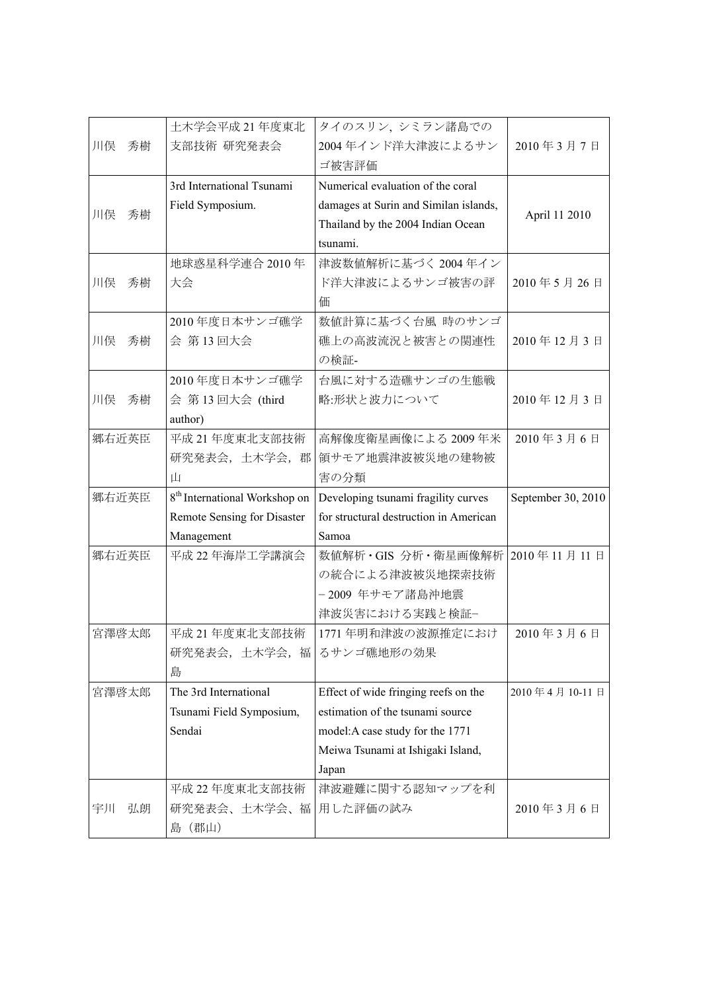|                             | 土木学会平成 21 年度東北                            | タイのスリン, シミラン諸島での                       |                    |
|-----------------------------|-------------------------------------------|----------------------------------------|--------------------|
| 川俣<br>秀樹                    | 支部技術 研究発表会                                | 2004年インド洋大津波によるサン                      | 2010年3月7日          |
|                             |                                           | ゴ被害評価                                  |                    |
|                             | 3rd International Tsunami                 | Numerical evaluation of the coral      |                    |
| 川俣<br>秀樹                    | Field Symposium.                          | damages at Surin and Similan islands,  | April 11 2010      |
|                             |                                           | Thailand by the 2004 Indian Ocean      |                    |
|                             |                                           | tsunami.                               |                    |
|                             | 地球惑星科学連合 2010年                            | 津波数値解析に基づく 2004年イン                     |                    |
| 川俣<br>秀樹                    | 大会                                        | ド洋大津波によるサンゴ被害の評                        | 2010年5月26日         |
|                             |                                           | 価                                      |                    |
|                             | 2010年度日本サンゴ礁学                             | 数値計算に基づく台風 時のサンゴ                       |                    |
| 川俣<br>秀樹                    | 会 第13回大会                                  | 礁上の高波流況と被害との関連性                        | 2010年12月3日         |
|                             |                                           | の検証-                                   |                    |
|                             | 2010年度日本サンゴ礁学                             | 台風に対する造礁サンゴの生態戦                        |                    |
| 川俣<br>秀樹                    | 会 第13回大会 (third                           | 略:形状と波力について                            | 2010年12月3日         |
|                             | author)                                   |                                        |                    |
| 郷右近英臣<br>平成 21 年度東北支部技術     |                                           | 高解像度衛星画像による 2009年米                     | 2010年3月6日          |
|                             | 研究発表会, 土木学会, 郡                            | 領サモア地震津波被災地の建物被                        |                    |
|                             | Щ                                         | 害の分類                                   |                    |
| 郷右近英臣                       | 8 <sup>th</sup> International Workshop on | Developing tsunami fragility curves    | September 30, 2010 |
| Remote Sensing for Disaster |                                           | for structural destruction in American |                    |
|                             | Management                                | Samoa                                  |                    |
| 郷右近英臣                       | 平成 22 年海岸工学講演会                            | 数値解析・GIS 分析・衛星画像解析   2010年 11月 11日     |                    |
|                             |                                           | の統合による津波被災地探索技術                        |                    |
|                             |                                           | - 2009 年サモア諸島沖地震                       |                    |
|                             |                                           | 津波災害における実践と検証-                         |                    |
| 宮澤啓太郎                       | 平成 21 年度東北支部技術                            | 1771年明和津波の波源推定におけ                      | 2010年3月6日          |
|                             | 研究発表会, 土木学会, 福   るサンゴ礁地形の効果               |                                        |                    |
|                             | 島                                         |                                        |                    |
| 宮澤啓太郎                       | The 3rd International                     | Effect of wide fringing reefs on the   | 2010年4月10-11日      |
|                             | Tsunami Field Symposium,                  | estimation of the tsunami source       |                    |
| Sendai                      |                                           | model: A case study for the 1771       |                    |
|                             |                                           | Meiwa Tsunami at Ishigaki Island,      |                    |
|                             |                                           | Japan                                  |                    |
|                             | 平成 22 年度東北支部技術                            | 津波避難に関する認知マップを利                        |                    |
| 弘朗<br>宇川                    | 研究発表会、土木学会、福                              | 用した評価の試み                               | 2010年3月6日          |
|                             | (郡山)<br>島                                 |                                        |                    |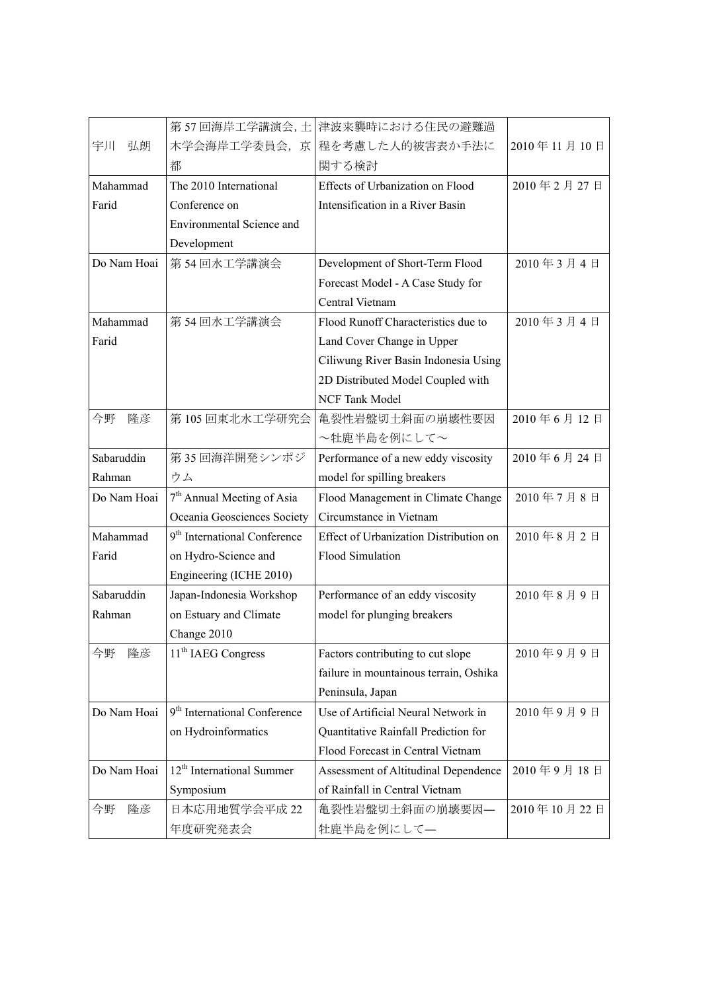|             | 第57回海岸工学講演会,土                            | 津波来襲時における住民の避難過                        |             |
|-------------|------------------------------------------|----------------------------------------|-------------|
| 宇川<br>弘朗    | 木学会海岸工学委員会, 京                            | 程を考慮した人的被害表か手法に                        | 2010年11月10日 |
|             | 都                                        | 関する検討                                  |             |
| Mahammad    | The 2010 International                   | Effects of Urbanization on Flood       | 2010年2月27日  |
| Farid       | Conference on                            | Intensification in a River Basin       |             |
|             | Environmental Science and                |                                        |             |
|             | Development                              |                                        |             |
| Do Nam Hoai | 第54回水工学講演会                               | Development of Short-Term Flood        | 2010年3月4日   |
|             |                                          | Forecast Model - A Case Study for      |             |
|             |                                          | Central Vietnam                        |             |
| Mahammad    | 第54回水工学講演会                               | Flood Runoff Characteristics due to    | 2010年3月4日   |
| Farid       |                                          | Land Cover Change in Upper             |             |
|             |                                          | Ciliwung River Basin Indonesia Using   |             |
|             |                                          | 2D Distributed Model Coupled with      |             |
|             |                                          | NCF Tank Model                         |             |
| 今野<br>隆彦    | 第105回東北水工学研究会                            | 亀裂性岩盤切土斜面の崩壊性要因                        | 2010年6月12日  |
|             |                                          | ~牡鹿半島を例にして~                            |             |
| Sabaruddin  | 第35回海洋開発シンポジ                             | Performance of a new eddy viscosity    | 2010年6月24日  |
| Rahman      | ウム                                       | model for spilling breakers            |             |
| Do Nam Hoai | 7 <sup>th</sup> Annual Meeting of Asia   | Flood Management in Climate Change     | 2010年7月8日   |
|             | Oceania Geosciences Society              | Circumstance in Vietnam                |             |
| Mahammad    | 9 <sup>th</sup> International Conference | Effect of Urbanization Distribution on | 2010年8月2日   |
| Farid       | on Hydro-Science and                     | <b>Flood Simulation</b>                |             |
|             | Engineering (ICHE 2010)                  |                                        |             |
| Sabaruddin  | Japan-Indonesia Workshop                 | Performance of an eddy viscosity       | 2010年8月9日   |
| Rahman      | on Estuary and Climate                   | model for plunging breakers            |             |
|             | Change 2010                              |                                        |             |
| 今野<br>隆彦    | 11 <sup>th</sup> IAEG Congress           | Factors contributing to cut slope      | 2010年9月9日   |
|             |                                          | failure in mountainous terrain, Oshika |             |
|             |                                          | Peninsula, Japan                       |             |
| Do Nam Hoai | 9 <sup>th</sup> International Conference | Use of Artificial Neural Network in    | 2010年9月9日   |
|             | on Hydroinformatics                      | Quantitative Rainfall Prediction for   |             |
|             |                                          | Flood Forecast in Central Vietnam      |             |
| Do Nam Hoai | 12 <sup>th</sup> International Summer    | Assessment of Altitudinal Dependence   | 2010年9月18日  |
|             | Symposium                                | of Rainfall in Central Vietnam         |             |
| 今野<br>隆彦    | 日本応用地質学会平成 22                            | 亀裂性岩盤切土斜面の崩壊要因–                        | 2010年10月22日 |
|             | 年度研究発表会                                  | 牡鹿半島を例にして–                             |             |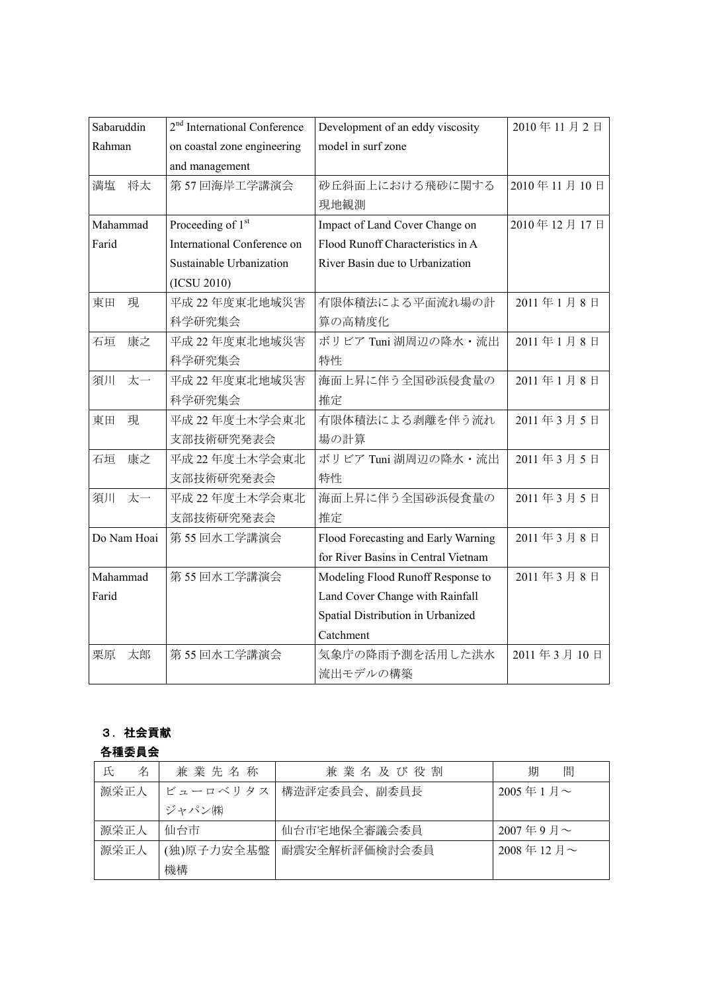| Sabaruddin  | 2 <sup>nd</sup> International Conference | Development of an eddy viscosity    | 2010年11月2日  |
|-------------|------------------------------------------|-------------------------------------|-------------|
| Rahman      | on coastal zone engineering              | model in surf zone                  |             |
|             | and management                           |                                     |             |
| 将太<br>満塩    | 第57回海岸工学講演会                              | 砂丘斜面上における飛砂に関する                     | 2010年11月10日 |
|             |                                          | 現地観測                                |             |
| Mahammad    | Proceeding of 1st                        | Impact of Land Cover Change on      | 2010年12月17日 |
| Farid       | International Conference on              | Flood Runoff Characteristics in A   |             |
|             | Sustainable Urbanization                 | River Basin due to Urbanization     |             |
|             | (ICSU 2010)                              |                                     |             |
| 東田<br>現     | 平成 22 年度東北地域災害                           | 有限体積法による平面流れ場の計                     | 2011年1月8日   |
|             | 科学研究集会                                   | 算の高精度化                              |             |
| 康之<br>石垣    | 平成 22 年度東北地域災害                           | ボリビア Tuni 湖周辺の降水・流出                 | 2011年1月8日   |
|             | 科学研究集会                                   | 特性                                  |             |
| 太一<br>須川    | 平成 22 年度東北地域災害                           | 海面上昇に伴う全国砂浜侵食量の                     | 2011年1月8日   |
|             | 科学研究集会                                   | 推定                                  |             |
| 現<br>東田     | 平成 22 年度土木学会東北                           | 有限体積法による剥離を伴う流れ                     | 2011年3月5日   |
|             | 支部技術研究発表会                                | 場の計算                                |             |
| 石垣<br>康之    | 平成 22 年度土木学会東北                           | ボリビア Tuni 湖周辺の降水・流出                 | 2011年3月5日   |
|             | 支部技術研究発表会                                | 特性                                  |             |
| 太一<br>須川    | 平成 22 年度土木学会東北                           | 海面上昇に伴う全国砂浜侵食量の                     | 2011年3月5日   |
|             | 支部技術研究発表会                                | 推定                                  |             |
| Do Nam Hoai | 第55回水工学講演会                               | Flood Forecasting and Early Warning | 2011年3月8日   |
|             |                                          | for River Basins in Central Vietnam |             |
| Mahammad    | 第55回水工学講演会                               | Modeling Flood Runoff Response to   | 2011年3月8日   |
| Farid       |                                          | Land Cover Change with Rainfall     |             |
|             |                                          | Spatial Distribution in Urbanized   |             |
|             |                                          | Catchment                           |             |
| 栗原<br>太郎    | 第55回水工学講演会                               | 気象庁の降雨予測を活用した洪水                     | 2011年3月10日  |
|             |                                          | 流出モデルの構築                            |             |

# 3.社会貢献

## 各種委員会

| 名<br>氏 | 兼業先名称                    | 兼業名及び役割       | 間<br>期                 |
|--------|--------------------------|---------------|------------------------|
| 源栄正人   | ビューロベリタス<br>構造評定委員会、副委員長 |               | $2005 \n 41 \n 5 \sim$ |
|        | ジャパン㈱                    |               |                        |
| 源栄正人   | 仙台市                      | 仙台市宅地保全審議会委員  | $2007 = 9$ 月~          |
| 源栄正人   | (独)原子力安全基盤               | 耐震安全解析評価検討会委員 | 2008年12月~              |
|        | 機構                       |               |                        |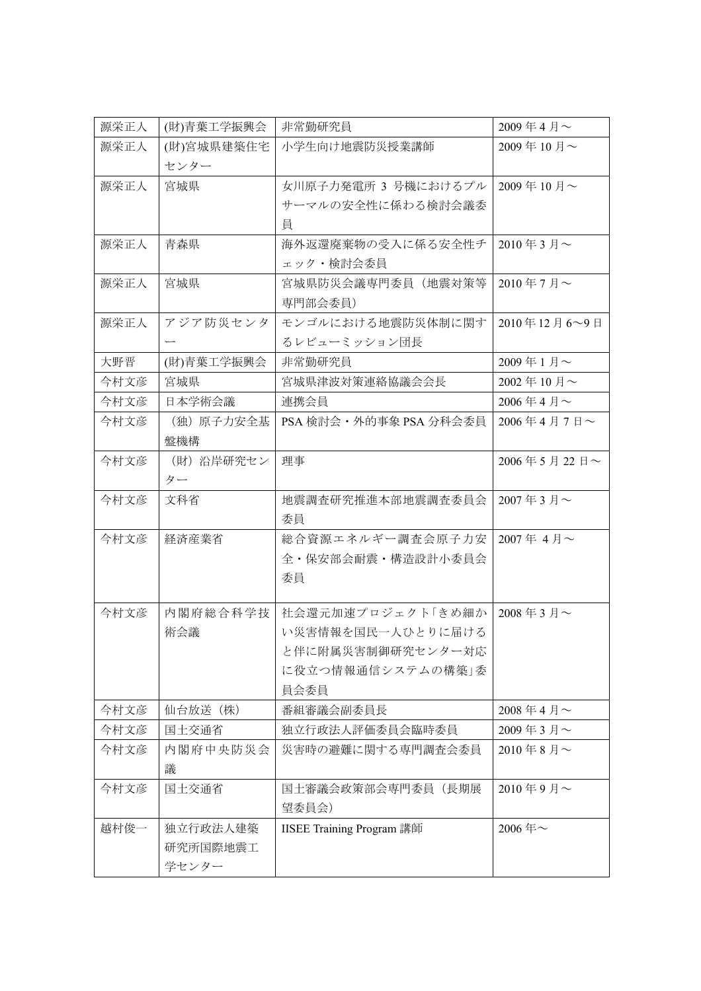| 源栄正人 | (財)青葉工学振興会 | 非常勤研究員                    | 2009年4月~       |
|------|------------|---------------------------|----------------|
| 源栄正人 | (財)宮城県建築住宅 | 小学生向け地震防災授業講師             | 2009年10月~      |
|      | センター       |                           |                |
| 源栄正人 | 宮城県        | 女川原子力発電所 3 号機におけるプル       | 2009年10月~      |
|      |            | サーマルの安全性に係わる検討会議委         |                |
|      |            | 員                         |                |
| 源栄正人 | 青森県        | 海外返還廃棄物の受入に係る安全性チ         | 2010年3月~       |
|      |            | ェック・検討会委員                 |                |
| 源栄正人 | 宮城県        | 宮城県防災会議専門委員(地震対策等         | 2010年7月~       |
|      |            | 専門部会委員)                   |                |
| 源栄正人 | アジア防災センタ   | モンゴルにおける地震防災体制に関す         | 2010年12月6~9日   |
|      |            | るレビューミッション団長              |                |
| 大野晋  | (財)青葉工学振興会 | 非常勤研究員                    | 2009年1月~       |
| 今村文彦 | 宮城県        | 宮城県津波対策連絡協議会会長            | 2002年10月~      |
| 今村文彦 | 日本学術会議     | 連携会員                      | 2006年4月 $\sim$ |
| 今村文彦 | (独) 原子力安全基 | PSA 検討会 · 外的事象 PSA 分科会委員  | 2006年4月7日~     |
|      | 盤機構        |                           |                |
| 今村文彦 | (財) 沿岸研究セン | 理事                        | 2006年5月22日~    |
|      | ター         |                           |                |
| 今村文彦 | 文科省        | 地震調査研究推進本部地震調査委員会         | 2007年3月~       |
|      |            | 委員                        |                |
| 今村文彦 | 経済産業省      | 総合資源エネルギー調査会原子力安          | 2007年4月~       |
|      |            | 全・保安部会耐震・構造設計小委員会         |                |
|      |            | 委員                        |                |
|      |            |                           |                |
| 今村文彦 | 内閣府総合科学技   | 社会還元加速プロジェクト「きめ細か         | 2008年3月~       |
|      | 術会議        | い災害情報を国民一人ひとりに届ける         |                |
|      |            | と伴に附属災害制御研究センター対応         |                |
|      |            | に役立つ情報通信システムの構築」委         |                |
|      |            | 員会委員                      |                |
| 今村文彦 | 仙台放送 (株)   | 番組審議会副委員長                 | 2008年4月 $\sim$ |
| 今村文彦 | 国土交通省      | 独立行政法人評価委員会臨時委員           | 2009年3月~       |
| 今村文彦 | 内閣府中央防災会   | 災害時の避難に関する専門調査会委員         | 2010年8月 $\sim$ |
|      | 議          |                           |                |
| 今村文彦 | 国土交通省      | 国土審議会政策部会専門委員(長期展         | $2010$ 年9月~    |
|      |            | 望委員会)                     |                |
| 越村俊一 | 独立行政法人建築   | IISEE Training Program 講師 | 2006年~         |
|      | 研究所国際地震工   |                           |                |
|      | 学センター      |                           |                |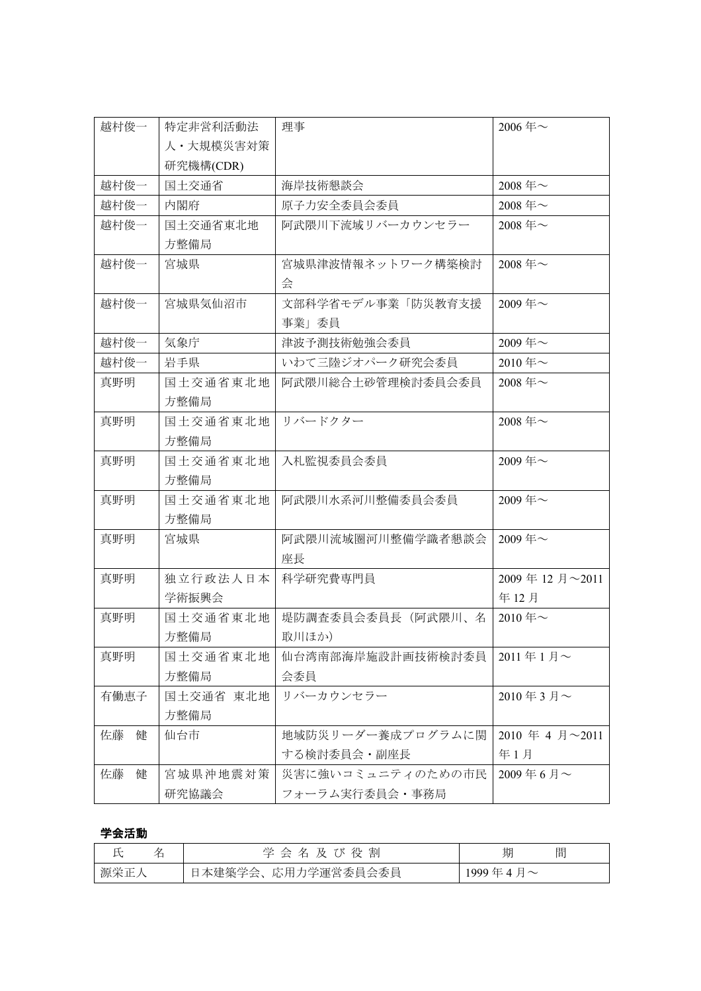| 越村俊一    | 特定非営利活動法  | 理事                | 2006年~                        |
|---------|-----------|-------------------|-------------------------------|
|         | 人·大規模災害対策 |                   |                               |
|         | 研究機構(CDR) |                   |                               |
| 越村俊一    | 国土交通省     | 海岸技術懇談会           | 2008年~                        |
| 越村俊一    | 内閣府       | 原子力安全委員会委員        | 2008年~                        |
| 越村俊一    | 国土交通省東北地  | 阿武隈川下流域リバーカウンセラー  | 2008年~                        |
|         | 方整備局      |                   |                               |
| 越村俊一    | 宮城県       | 宮城県津波情報ネットワーク構築検討 | 2008年~                        |
|         |           | 会                 |                               |
| 越村俊一    | 宮城県気仙沼市   | 文部科学省モデル事業「防災教育支援 | 2009年~                        |
|         |           | 事業」委員             |                               |
| 越村俊一    | 気象庁       | 津波予測技術勉強会委員       | 2009年~                        |
| 越村俊一    | 岩手県       | いわて三陸ジオパーク研究会委員   | 2010年~                        |
| 真野明     | 国土交通省東北地  | 阿武隈川総合土砂管理検討委員会委員 | 2008年~                        |
|         | 方整備局      |                   |                               |
| 真野明     | 国土交通省東北地  | リバードクター           | 2008年~                        |
|         | 方整備局      |                   |                               |
| 真野明     | 国土交通省東北地  | 入札監視委員会委員         | 2009年~                        |
|         | 方整備局      |                   |                               |
| 真野明     | 国土交通省東北地  | 阿武隈川水系河川整備委員会委員   | 2009年~                        |
|         | 方整備局      |                   |                               |
| 真野明     | 宮城県       | 阿武隈川流域圏河川整備学識者懇談会 | 2009年~                        |
|         |           | 座長                |                               |
| 真野明     | 独立行政法人日本  | 科学研究費専門員          | 2009年12月~2011                 |
|         | 学術振興会     |                   | 年12月                          |
| 真野明     | 国土交通省東北地  | 堤防調査委員会委員長(阿武隈川、名 | $2010 \text{ } \text{#} \sim$ |
|         | 方整備局      | 取川ほか)             |                               |
| 真野明     | 国土交通省東北地  | 仙台湾南部海岸施設計画技術検討委員 | 2011年1月~                      |
|         | 方整備局      | 会委員               |                               |
| 有働恵子    | 国土交通省 東北地 | リバーカウンセラー         | 2010年3月~                      |
|         | 方整備局      |                   |                               |
| 佐藤<br>健 | 仙台市       | 地域防災リーダー養成プログラムに関 | 2010 年 4 月~2011               |
|         |           | する検討委員会・副座長       | 年1月                           |
| 佐藤<br>健 | 宮城県沖地震対策  | 災害に強いコミュニティのための市民 | 2009年6月~                      |
|         | 研究協議会     | フォーラム実行委員会・事務局    |                               |

# 学会活動

|     | 及び役割<br>学 会<br>名       | 間<br>期         |
|-----|------------------------|----------------|
| 源栄正 | 本建築学会、応用力学運営委員会委員<br>⊢ | 1999年4月 $\sim$ |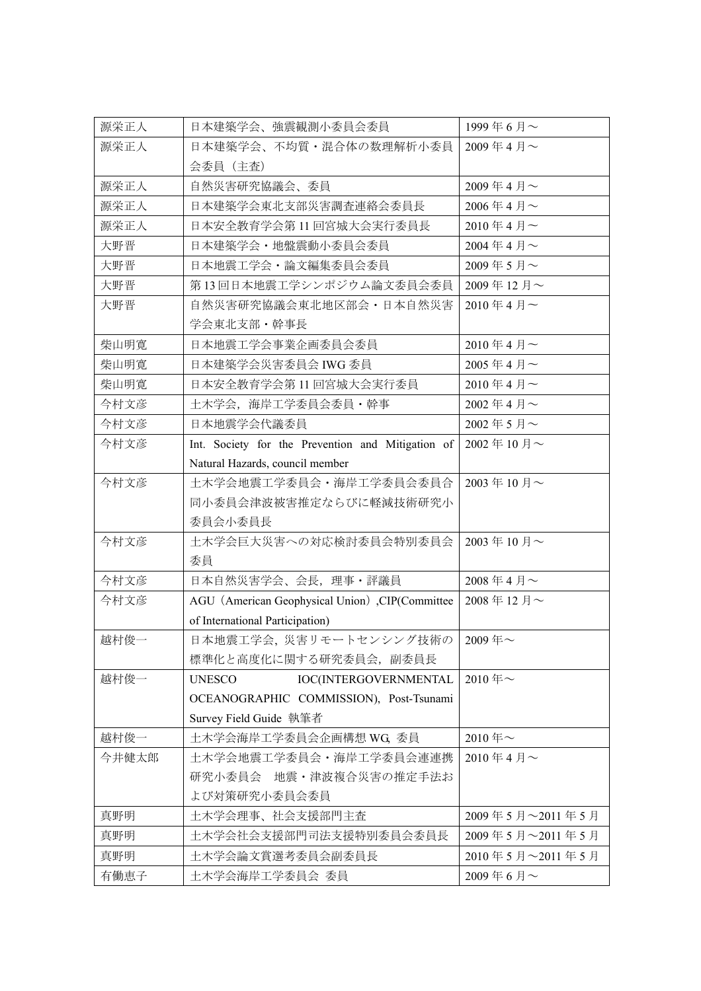| 源栄正人  | 日本建築学会、強震観測小委員会委員                                 | 1999年6月~        |
|-------|---------------------------------------------------|-----------------|
| 源栄正人  | 日本建築学会、不均質・混合体の数理解析小委員                            | 2009年4月~        |
|       | 会委員(主査)                                           |                 |
| 源栄正人  | 自然災害研究協議会、委員                                      | 2009年4月~        |
| 源栄正人  | 日本建築学会東北支部災害調査連絡会委員長                              | 2006年4月 $\sim$  |
| 源栄正人  | 日本安全教育学会第 11 回宮城大会実行委員長                           | 2010年4月~        |
| 大野晋   | 日本建築学会・地盤震動小委員会委員                                 | 2004年4月~        |
| 大野晋   | 日本地震工学会・論文編集委員会委員                                 | 2009年5月~        |
| 大野晋   | 第13回日本地震工学シンポジウム論文委員会委員                           | 2009年12月~       |
| 大野晋   | 自然災害研究協議会東北地区部会・日本自然災害                            | 2010年4月~        |
|       | 学会東北支部・幹事長                                        |                 |
| 柴山明寛  | 日本地震工学会事業企画委員会委員                                  | 2010年4月~        |
| 柴山明寛  | 日本建築学会災害委員会 IWG 委員                                | 2005年4月~        |
| 柴山明寛  | 日本安全教育学会第 11 回宮城大会実行委員                            | 2010年4月~        |
| 今村文彦  | 土木学会,海岸工学委員会委員・幹事                                 | 2002年4月~        |
| 今村文彦  | 日本地震学会代議委員                                        | 2002年5月~        |
| 今村文彦  | Int. Society for the Prevention and Mitigation of | 2002年10月~       |
|       | Natural Hazards, council member                   |                 |
| 今村文彦  | 土木学会地震工学委員会・海岸工学委員会委員合                            | 2003年10月~       |
|       | 同小委員会津波被害推定ならびに軽減技術研究小                            |                 |
|       | 委員会小委員長                                           |                 |
| 今村文彦  | 土木学会巨大災害への対応検討委員会特別委員会                            | 2003年10月~       |
|       | 委員                                                |                 |
| 今村文彦  | 日本自然災害学会、会長、理事・評議員                                | 2008年4月~        |
| 今村文彦  | AGU (American Geophysical Union), CIP(Committee   | 2008年12月~       |
|       | of International Participation)                   |                 |
| 越村俊一  | 日本地震工学会, 災害リモートセンシング技術の   2009年~                  |                 |
|       | 標準化と高度化に関する研究委員会、副委員長                             |                 |
| 越村俊一  | <b>UNESCO</b><br>IOC(INTERGOVERNMENTAL            | 2010年~          |
|       | OCEANOGRAPHIC COMMISSION), Post-Tsunami           |                 |
|       | Survey Field Guide 執筆者                            |                 |
| 越村俊一  | 土木学会海岸工学委員会企画構想 WG, 委員                            | 2010年~          |
| 今井健太郎 | 土木学会地震工学委員会・海岸工学委員会連連携                            | 2010年4月~        |
|       | 研究小委員会 地震・津波複合災害の推定手法お                            |                 |
|       | よび対策研究小委員会委員                                      |                 |
| 真野明   | 土木学会理事、社会支援部門主査                                   | 2009年5月~2011年5月 |
| 真野明   | 土木学会社会支援部門司法支援特別委員会委員長                            | 2009年5月~2011年5月 |
| 真野明   | 土木学会論文賞選考委員会副委員長                                  | 2010年5月~2011年5月 |
| 有働恵子  | 土木学会海岸工学委員会 委員                                    | 2009年6月~        |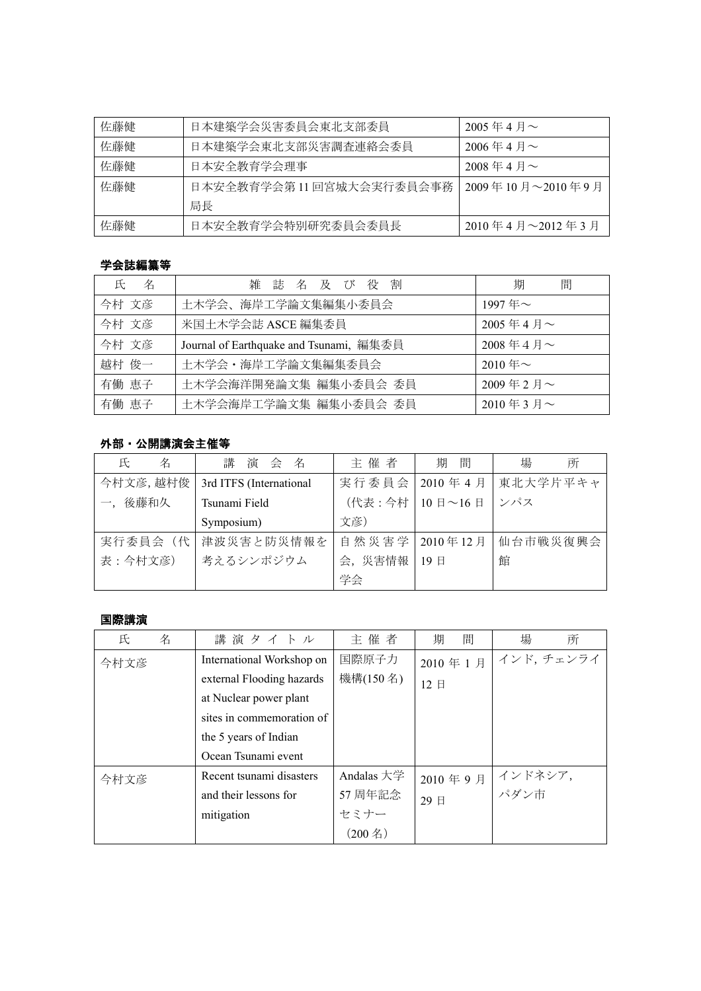| 佐藤健 | 日本建築学会災害委員会東北支部委員         | 2005年4月 $\sim$      |
|-----|---------------------------|---------------------|
| 佐藤健 | 日本建築学会東北支部災害調査連絡会委員       | $2006$ 年4月~         |
| 佐藤健 | 日本安全教育学会理事                | $2008$ 年 4 月 $\sim$ |
| 佐藤健 | 日本安全教育学会第 11 回宮城大会実行委員会事務 | 2009年10月~2010年9月    |
|     | 局長                        |                     |
| 佐藤健 | 日本安全教育学会特別研究委員会委員長        | 2010年4月~2012年3月     |

## 学会誌編纂等

| 名<br>氏 | 雑誌名及び役割                                 | 期<br>間         |
|--------|-----------------------------------------|----------------|
| 今村 文彦  | 土木学会、海岸工学論文集編集小委員会                      | 1997年~         |
| 今村 文彦  | 米国土木学会誌 ASCE 編集委員                       | 2005年4月~       |
| 今村 文彦  | Journal of Earthquake and Tsunami, 編集委員 | 2008年4月 $\sim$ |
| 越村 俊一  | 土木学会·海岸工学論文集編集委員会                       | $2010 = -$     |
| 有働 恵子  | 土木学会海洋開発論文集 編集小委員会 委員                   | 2009年2月~       |
| 有働 恵子  | 土木学会海岸工学論文集 編集小委員会 委員                   | 2010年3月~       |

### 外部・公開講演会主催等

| 名<br>氏    | 講演会名                    | 主催者     | 間<br>期                                             | 所<br>場   |
|-----------|-------------------------|---------|----------------------------------------------------|----------|
| 今村文彦, 越村俊 | 3rd ITFS (International | 実行委員会   | 2010年4月                                            | 東北大学片平キャ |
| 一,後藤和久    | Tsunami Field           | (代表:今村  | $10 \text{ }\mathbf{F} \sim 16 \text{ }\mathbf{F}$ | ンパス      |
|           | Symposium)              | 文彦)     |                                                    |          |
| 実行委員会 (代  | 津波災害と防災情報を              | 自然災害学   | 2010年12月                                           | 仙台市戦災復興会 |
| 表:今村文彦)   | 考えるシンポジウム               | 会, 災害情報 | 19E                                                | 館        |
|           |                         | 学会      |                                                    |          |

### 国際講演

| 名<br>氏 | 講演タイトル                    | 主催者         | 間<br>期  | 所<br>場            |
|--------|---------------------------|-------------|---------|-------------------|
| 今村文彦   | International Workshop on | 国際原子力       | 2010年1月 | インド,チェンライ         |
|        | external Flooding hazards | 機構(150名)    | 12 日    |                   |
|        | at Nuclear power plant    |             |         |                   |
|        | sites in commemoration of |             |         |                   |
|        | the 5 years of Indian     |             |         |                   |
|        | Ocean Tsunami event       |             |         |                   |
| 今村文彦   | Recent tsunami disasters  | Andalas 大学  |         | 2010 年9 月 インドネシア, |
|        | and their lessons for     | 57 周年記念     | 29 日    |                   |
|        | mitigation                | セミナー        |         |                   |
|        |                           | $(200 \n4)$ |         |                   |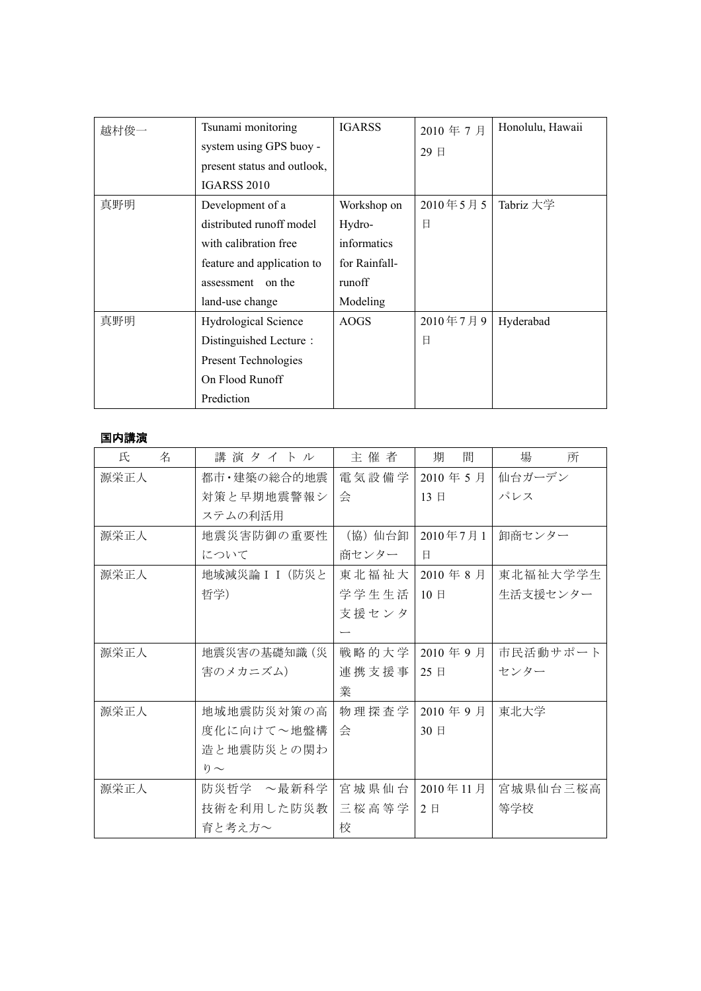| 越村俊一 | Tsunami monitoring          | <b>IGARSS</b> | 2010年7月  | Honolulu, Hawaii |
|------|-----------------------------|---------------|----------|------------------|
|      | system using GPS buoy -     |               | 29 日     |                  |
|      | present status and outlook, |               |          |                  |
|      | <b>IGARSS 2010</b>          |               |          |                  |
| 真野明  | Development of a            | Workshop on   | 2010年5月5 | Tabriz 大学        |
|      | distributed runoff model    | Hydro-        | 日        |                  |
|      | with calibration free       | informatics   |          |                  |
|      | feature and application to  | for Rainfall- |          |                  |
|      | on the<br>assessment        | runoff        |          |                  |
|      | land-use change             | Modeling      |          |                  |
| 真野明  | <b>Hydrological Science</b> | <b>AOGS</b>   | 2010年7月9 | Hyderabad        |
|      | Distinguished Lecture:      |               | 日        |                  |
|      | Present Technologies        |               |          |                  |
|      | On Flood Runoff             |               |          |                  |
|      | Prediction                  |               |          |                  |

### 国内講演

| 氏<br>名 | 講演タイトル         | 主催者     | 間<br>期                | 場<br>所   |
|--------|----------------|---------|-----------------------|----------|
| 源栄正人   | 都市・建築の総合的地震    | 電気設備学   | 2010年5月               | 仙台ガーデン   |
|        | 対策と早期地震警報シ     | 会       | 13E                   | パレス      |
|        | ステムの利活用        |         |                       |          |
| 源栄正人   | 地震災害防御の重要性     | (協) 仙台卸 | 2010年7月1              | 卸商センター   |
|        | について           | 商センター   | 日                     |          |
| 源栄正人   | 地域減災論 I I (防災と | 東北福祉大   | $2010$ 年 8 月          | 東北福祉大学学生 |
|        | 哲学)            | 学学生生活   | 10E                   | 生活支援センター |
|        |                | 支援センタ   |                       |          |
|        |                |         |                       |          |
| 源栄正人   | 地震災害の基礎知識 (災   | 戦略的大学   | 2010年9月               | 市民活動サポート |
|        | 害のメカニズム)       | 連携支援事   | 25 日                  | センター     |
|        |                | 業       |                       |          |
| 源栄正人   | 地域地震防災対策の高     | 物理探查学   | $2010$ 年 9 月          | 東北大学     |
|        | 度化に向けて~地盤構     | 会       | $30 \text{ } \square$ |          |
|        | 造と地震防災との関わ     |         |                       |          |
|        | $\eta \sim$    |         |                       |          |
| 源栄正人   | 防災哲学 ~最新科学     | 宮城県仙台   | 2010年11月              | 宮城県仙台三桜高 |
|        | 技術を利用した防災教     | 三桜高等学   | 2E                    | 等学校      |
|        | 育と考え方~         | 校       |                       |          |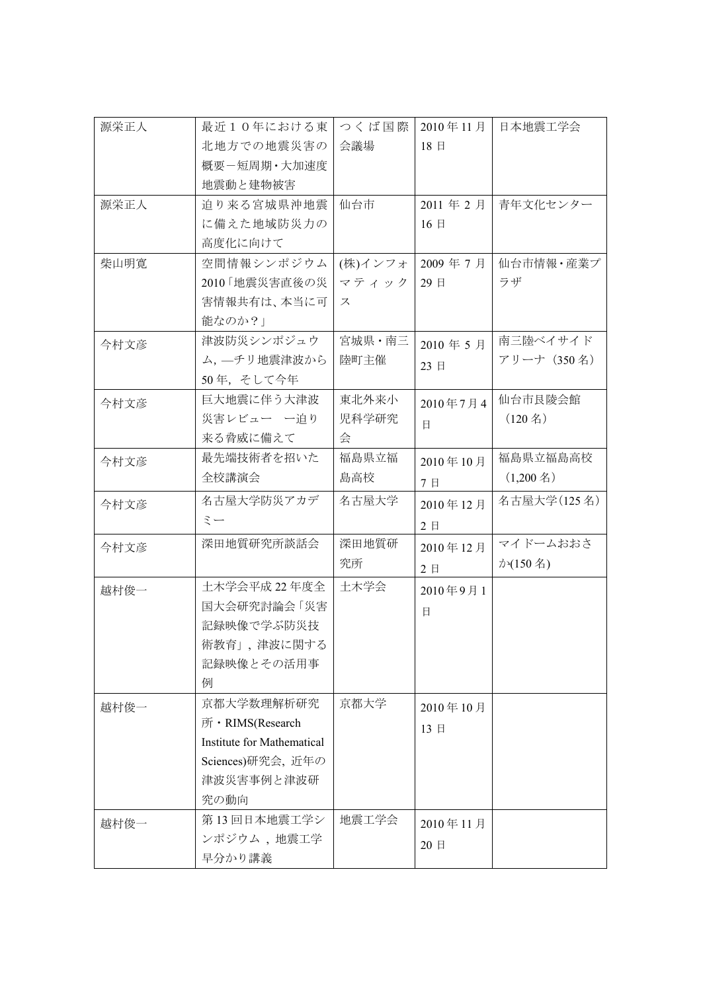| 源栄正人 | 最近10年における東                 | つくば国際   | 2010年11月     | 日本地震工学会             |
|------|----------------------------|---------|--------------|---------------------|
|      | 北地方での地震災害の                 | 会議場     | 18日          |                     |
|      | 概要ー短周期・大加速度                |         |              |                     |
|      | 地震動と建物被害                   |         |              |                     |
| 源栄正人 | 迫り来る宮城県沖地震                 | 仙台市     | 2011年2月      | 青年文化センター            |
|      | に備えた地域防災力の                 |         | 16日          |                     |
|      | 高度化に向けて                    |         |              |                     |
| 柴山明寛 | 空間情報シンポジウム                 | (株)インフォ | 2009年7月      | 仙台市情報・産業プ           |
|      | 2010「地震災害直後の災              | マティック   | 29日          | ラザ                  |
|      | 害情報共有は、本当に可                | ス       |              |                     |
|      | 能なのか?」                     |         |              |                     |
| 今村文彦 | 津波防災シンポジュウ                 | 宮城県·南三  | 2010年5月      | 南三陸ベイサイド            |
|      | ム, 一チリ地震津波から               | 陸町主催    | 23 日         | アリーナ (350名)         |
|      | 50年、そして今年                  |         |              |                     |
| 今村文彦 | 巨大地震に伴う大津波                 | 東北外来小   | 2010年7月4     | 仙台市艮陵会館             |
|      | 災害レビュー 一迫り                 | 児科学研究   | $\mathbf{H}$ | $(120 \n4)$         |
|      | 来る脅威に備えて                   | 会       |              |                     |
| 今村文彦 | 最先端技術者を招いた                 | 福島県立福   | 2010年10月     | 福島県立福島高校            |
|      | 全校講演会                      | 島高校     | 7日           | $(1,200 \text{ Å})$ |
| 今村文彦 | 名古屋大学防災アカデ                 | 名古屋大学   | 2010年12月     | 名古屋大学(125名)         |
|      | ミー                         |         | 2日           |                     |
| 今村文彦 | 深田地質研究所談話会                 | 深田地質研   | 2010年12月     | マイドームおおさ            |
|      |                            | 究所      | 2日           | か(150名)             |
| 越村俊一 | 土木学会平成 22 年度全              | 土木学会    | 2010年9月1     |                     |
|      | 国大会研究討論会「災害                |         |              |                     |
|      | 記録映像で学ぶ防災技                 |         | 日            |                     |
|      | 術教育」,津波に関する                |         |              |                     |
|      | 記録映像とその活用事                 |         |              |                     |
|      | 例                          |         |              |                     |
| 越村俊一 | 京都大学数理解析研究                 | 京都大学    | 2010年10月     |                     |
|      | 所 · RIMS(Research          |         | 13 日         |                     |
|      | Institute for Mathematical |         |              |                     |
|      | Sciences)研究会, 近年の          |         |              |                     |
|      | 津波災害事例と津波研                 |         |              |                     |
|      | 究の動向                       |         |              |                     |
| 越村俊一 | 第13回日本地震工学シ                | 地震工学会   | 2010年11月     |                     |
|      | ンポジウム、地震工学                 |         | 20日          |                     |
|      | 早分かり講義                     |         |              |                     |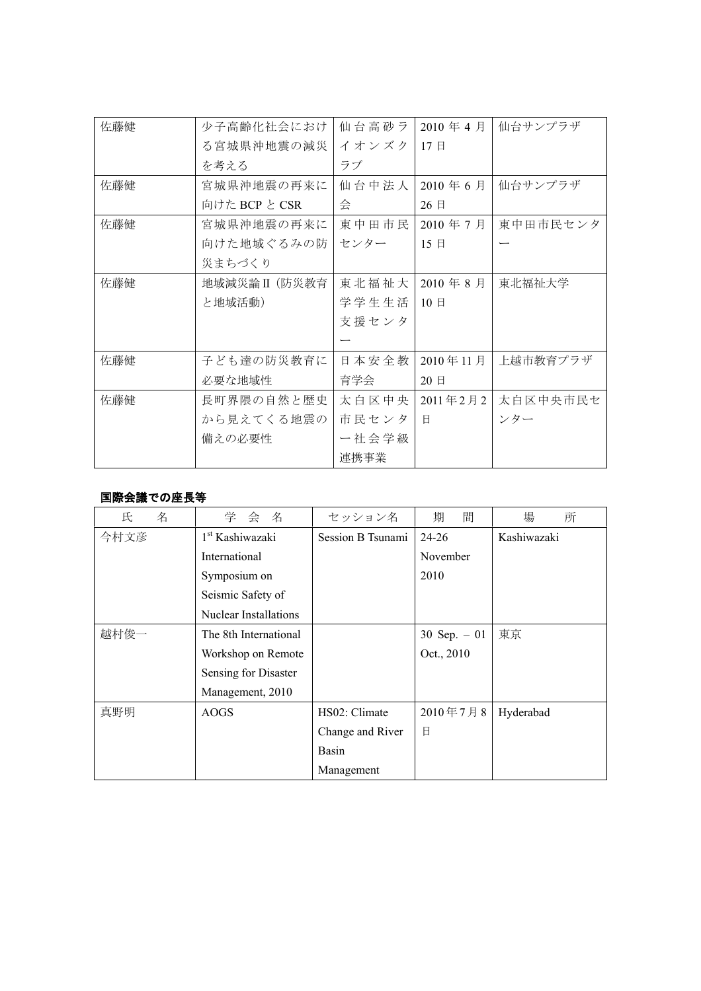| 佐藤健 | 少子高齢化社会におけ    | 仙台高砂ラ | 2010年4月  | 仙台サンプラザ  |
|-----|---------------|-------|----------|----------|
|     | る宮城県沖地震の減災    | イオンズク | 17日      |          |
|     | を考える          | ラブ    |          |          |
| 佐藤健 | 宮城県沖地震の再来に    | 仙台中法人 | 2010年6月  | 仙台サンプラザ  |
|     | 向けた BCP と CSR | 会     | 26 日     |          |
| 佐藤健 | 宮城県沖地震の再来に    | 東中田市民 | 2010年7月  | 東中田市民センタ |
|     | 向けた地域ぐるみの防    | センター  | 15E      |          |
|     | 災まちづくり        |       |          |          |
| 佐藤健 | 地域減災論II (防災教育 | 東北福祉大 | 2010年8月  | 東北福祉大学   |
|     | と地域活動)        | 学学生生活 | 10E      |          |
|     |               | 支援センタ |          |          |
|     |               |       |          |          |
| 佐藤健 | 子ども達の防災教育に    | 日本安全教 | 2010年11月 | 上越市教育プラザ |
|     | 必要な地域性        | 育学会   | 20 日     |          |
| 佐藤健 | 長町界隈の自然と歴史    | 太白区中央 | 2011年2月2 | 太白区中央市民セ |
|     | から見えてくる地震の    | 市民センタ | 日        | ンター      |
|     | 備えの必要性        | 一社会学級 |          |          |
|     |               | 連携事業  |          |          |

### 国際会議での座長等

| 氏<br>名 | 学会名                         | セッション名            | 間<br>期        | 場<br>所      |
|--------|-----------------------------|-------------------|---------------|-------------|
| 今村文彦   | 1 <sup>st</sup> Kashiwazaki | Session B Tsunami | $24 - 26$     | Kashiwazaki |
|        | International               |                   | November      |             |
|        | Symposium on                |                   | 2010          |             |
|        | Seismic Safety of           |                   |               |             |
|        | Nuclear Installations       |                   |               |             |
| 越村俊一   | The 8th International       |                   | 30 Sep. $-01$ | 東京          |
|        | Workshop on Remote          |                   | Oct., 2010    |             |
|        | Sensing for Disaster        |                   |               |             |
|        | Management, 2010            |                   |               |             |
| 真野明    | AOGS                        | HS02: Climate     | 2010年7月8      | Hyderabad   |
|        |                             | Change and River  | 日             |             |
|        |                             | Basin             |               |             |
|        |                             | Management        |               |             |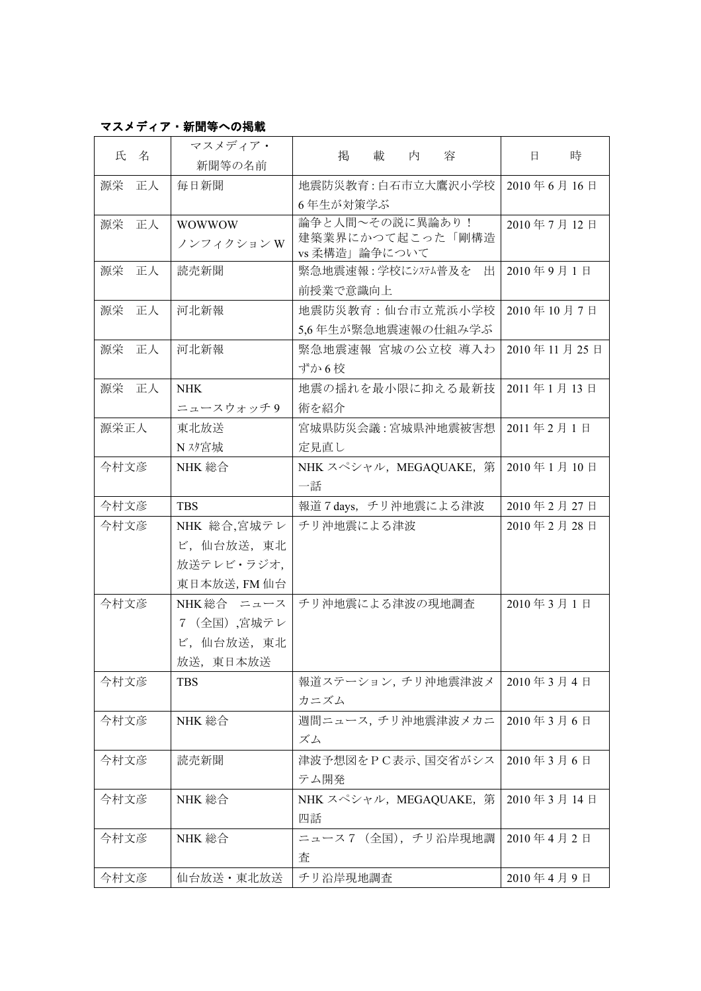# マスメディア・新聞等への掲載

| 氏<br>名   | マスメディア・<br>新聞等の名前                                      | 掲<br>載<br>内<br>容                                     | 時<br>日      |
|----------|--------------------------------------------------------|------------------------------------------------------|-------------|
| 源栄<br>正人 | 毎日新聞                                                   | 地震防災教育:白石市立大鷹沢小学校<br>6年生が対策学ぶ                        | 2010年6月16日  |
| 源栄<br>正人 | <b>WOWWOW</b><br>ノンフィクション W                            | 論争と人間~その説に異論あり!<br>建築業界にかつて起こった「剛構造<br>vs 柔構造」論争について | 2010年7月12日  |
| 正人<br>源栄 | 読売新聞                                                   | 緊急地震速報:学校にシステム普及を<br>出<br>前授業で意識向上                   | 2010年9月1日   |
| 源栄<br>正人 | 河北新報                                                   | 地震防災教育:仙台市立荒浜小学校<br>5,6年生が緊急地震速報の仕組み学ぶ               | 2010年10月7日  |
| 源栄<br>正人 | 河北新報                                                   | 緊急地震速報 宮城の公立校 導入わ<br>ずか6校                            | 2010年11月25日 |
| 源栄<br>正人 | <b>NHK</b><br>ニュースウォッチ9                                | 地震の揺れを最小限に抑える最新技<br>術を紹介                             | 2011年1月13日  |
| 源栄正人     | 東北放送<br>N スタ宮城                                         | 宮城県防災会議:宮城県沖地震被害想<br>定見直し                            | 2011年2月1日   |
| 今村文彦     | NHK 総合                                                 | NHK スペシャル, MEGAQUAKE, 第<br>一話                        | 2010年1月10日  |
| 今村文彦     | <b>TBS</b>                                             | 報道7 days, チリ沖地震による津波                                 | 2010年2月27日  |
| 今村文彦     | NHK 総合,宮城テレ<br>ビ,仙台放送,東北<br>放送テレビ・ラジオ,<br>東日本放送, FM 仙台 | チリ沖地震による津波                                           | 2010年2月28日  |
| 今村文彦     | NHK総合 ニュース<br>7 (全国) ,宮城テレ<br>ビ,仙台放送,東北<br>放送, 東日本放送   | チリ沖地震による津波の現地調査                                      | 2010年3月1日   |
| 今村文彦     | <b>TBS</b>                                             | 報道ステーション, チリ沖地震津波メ<br>カニズム                           | 2010年3月4日   |
| 今村文彦     | NHK 総合                                                 | 週間ニュース,チリ沖地震津波メカニ<br>ズム                              | 2010年3月6日   |
| 今村文彦     | 読売新聞                                                   | 津波予想図をPC表示、国交省がシス<br>テム開発                            | 2010年3月6日   |
| 今村文彦     | NHK 総合                                                 | NHK スペシャル, MEGAQUAKE, 第<br>四話                        | 2010年3月14日  |
| 今村文彦     | NHK 総合                                                 | ニュース7 (全国), チリ沿岸現地調<br>査                             | 2010年4月2日   |
| 今村文彦     | 仙台放送・東北放送                                              | チリ沿岸現地調査                                             | 2010年4月9日   |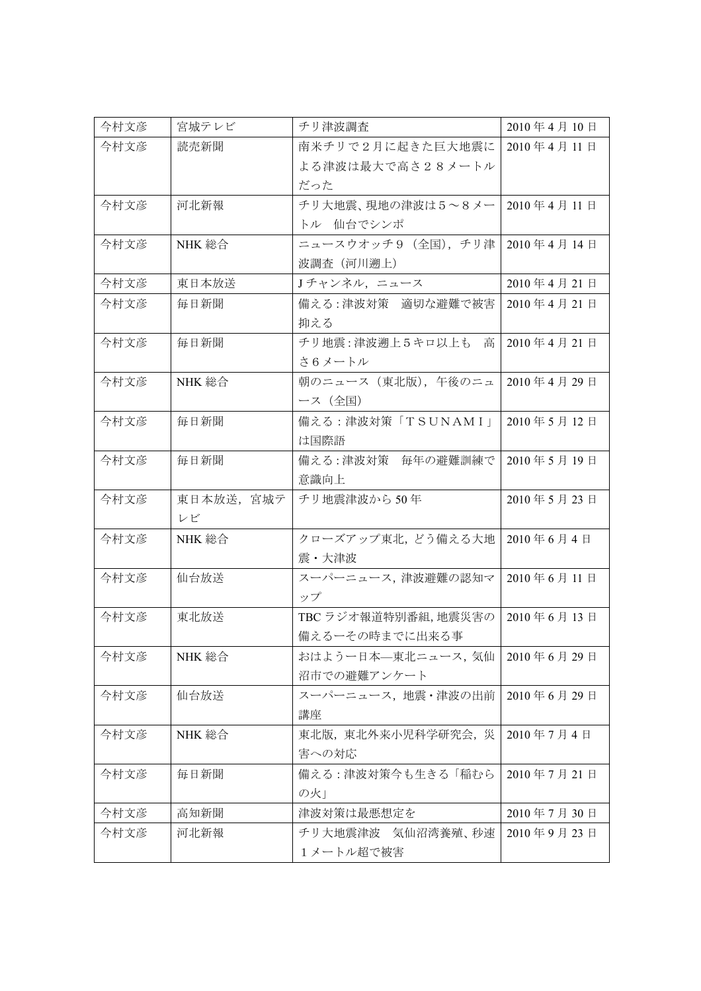| 今村文彦 | 宮城テレビ     | チリ津波調査               | 2010年4月10日 |
|------|-----------|----------------------|------------|
| 今村文彦 | 読売新聞      | 南米チリで2月に起きた巨大地震に     | 2010年4月11日 |
|      |           | よる津波は最大で高さ28メートル     |            |
|      |           | だった                  |            |
| 今村文彦 | 河北新報      | チリ大地震、現地の津波は5~8メー    | 2010年4月11日 |
|      |           | トル 仙台でシンポ            |            |
| 今村文彦 | NHK 総合    | ニュースウオッチ9(全国),チリ津    | 2010年4月14日 |
|      |           | 波調査(河川遡上)            |            |
| 今村文彦 | 東日本放送     | Jチャンネル, ニュース         | 2010年4月21日 |
| 今村文彦 | 毎日新聞      | 備える:津波対策 適切な避難で被害    | 2010年4月21日 |
|      |           | 抑える                  |            |
| 今村文彦 | 毎日新聞      | チリ地震:津波遡上5キロ以上も 高    | 2010年4月21日 |
|      |           | さ6メートル               |            |
| 今村文彦 | NHK 総合    | 朝のニュース (東北版), 午後のニュ  | 2010年4月29日 |
|      |           | ース(全国)               |            |
| 今村文彦 | 毎日新聞      | 備える:津波対策「TSUNAMI」    | 2010年5月12日 |
|      |           | は国際語                 |            |
| 今村文彦 | 毎日新聞      | 備える:津波対策 毎年の避難訓練で    | 2010年5月19日 |
|      |           | 意識向上                 |            |
| 今村文彦 | 東日本放送、宮城テ | チリ地震津波から50年          | 2010年5月23日 |
|      | レビ        |                      |            |
| 今村文彦 | NHK 総合    | クローズアップ東北, どう備える大地   | 2010年6月4日  |
|      |           | 震・大津波                |            |
| 今村文彦 | 仙台放送      | スーパーニュース,津波避難の認知マ    | 2010年6月11日 |
|      |           | ップ                   |            |
| 今村文彦 | 東北放送      | TBC ラジオ報道特別番組, 地震災害の | 2010年6月13日 |
|      |           | 備えるーその時までに出来る事       |            |
| 今村文彦 | NHK 総合    | おはようー日本––東北ニュース, 気仙  | 2010年6月29日 |
|      |           | 沼市での避難アンケート          |            |
| 今村文彦 | 仙台放送      | スーパーニュース,地震·津波の出前    | 2010年6月29日 |
|      |           | 講座                   |            |
| 今村文彦 | NHK 総合    | 東北版, 東北外来小児科学研究会, 災  | 2010年7月4日  |
|      |           | 害への対応                |            |
| 今村文彦 | 毎日新聞      | 備える : 津波対策今も生きる 「稲むら | 2010年7月21日 |
|      |           | の火」                  |            |
| 今村文彦 | 高知新聞      | 津波対策は最悪想定を           | 2010年7月30日 |
| 今村文彦 | 河北新報      | チリ大地震津波 気仙沼湾養殖、秒速    | 2010年9月23日 |
|      |           | 1メートル超で被害            |            |